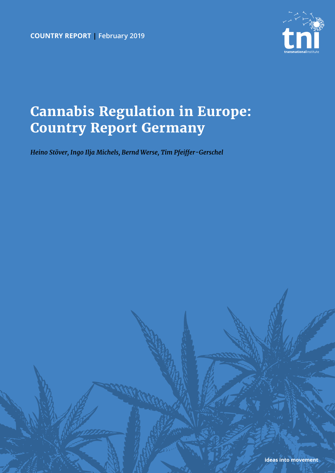**country report | February 2019**



# **Cannabis Regulation in Europe: Country Report Germany**

*Heino Stöver, Ingo Ilja Michels, Bernd Werse, Tim Pfeiffer-Gerschel*

**ideas into movement**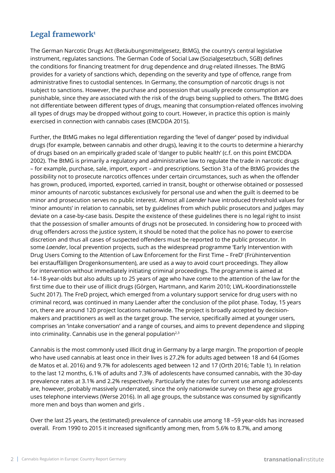### Legal framework<sup>1</sup>

The German Narcotic Drugs Act (Betäubungsmittelgesetz, BtMG), the country's central legislative instrument, regulates sanctions. The German Code of Social Law (Sozialgesetzbuch, SGB) defines the conditions for financing treatment for drug dependence and drug-related illnesses. The BtMG provides for a variety of sanctions which, depending on the severity and type of offence, range from administrative fines to custodial sentences. In Germany, the consumption of narcotic drugs is not subject to sanctions. However, the purchase and possession that usually precede consumption are punishable, since they are associated with the risk of the drugs being supplied to others. The BtMG does not differentiate between different types of drugs, meaning that consumption-related offences involving all types of drugs may be dropped without going to court. However, in practice this option is mainly exercised in connection with cannabis cases (EMCDDA 2015).

Further, the BtMG makes no legal differentiation regarding the 'level of danger' posed by individual drugs (for example, between cannabis and other drugs), leaving it to the courts to determine a hierarchy of drugs based on an empirically graded scale of 'danger to public health' (c.f. on this point EMCDDA 2002). The BtMG is primarily a regulatory and administrative law to regulate the trade in narcotic drugs – for example, purchase, sale, import, export – and prescriptions. Section 31a of the BtMG provides the possibility not to prosecute narcotics offences under certain circumstances, such as when the offender has grown, produced, imported, exported, carried in transit, bought or otherwise obtained or possessed minor amounts of narcotic substances exclusively for personal use and when the guilt is deemed to be minor and prosecution serves no public interest. Almost all *Laender* have introduced threshold values for 'minor amounts' in relation to cannabis, set by guidelines from which public prosecutors and judges may deviate on a case-by-case basis. Despite the existence of these guidelines there is no legal right to insist that the possession of smaller amounts of drugs not be prosecuted. In considering how to proceed with drug offenders across the justice system, it should be noted that the police has no power to exercise discretion and thus all cases of suspected offenders must be reported to the public prosecutor. In some *Laender*, local prevention projects, such as the widespread programme 'Early Intervention with Drug Users Coming to the Attention of Law Enforcement for the First Time – FreD' (Frühintervention bei erstauffälligen Drogenkonsumenten), are used as a way to avoid court proceedings. They allow for intervention without immediately initiating criminal proceedings. The programme is aimed at 14–18-year-olds but also adults up to 25 years of age who have come to the attention of the law for the first time due to their use of illicit drugs (Görgen, Hartmann, and Karim 2010; LWL-Koordinationsstelle Sucht 2017). The FreD project, which emerged from a voluntary support service for drug users with no criminal record, was continued in many Laender after the conclusion of the pilot phase. Today, 15 years on, there are around 120 project locations nationwide. The project is broadly accepted by decisionmakers and practitioners as well as the target group. The service, specifically aimed at younger users, comprises an 'intake conversation' and a range of courses, and aims to prevent dependence and slipping into criminality. Cannabis use in the general population $2,3$ 

Cannabis is the most commonly used illicit drug in Germany by a large margin. The proportion of people who have used cannabis at least once in their lives is 27.2% for adults aged between 18 and 64 (Gomes de Matos et al. 2016) and 9.7% for adolescents aged between 12 and 17 (Orth 2016; Table 1). In relation to the last 12 months, 6.1% of adults and 7.3% of adolescents have consumed cannabis, with the 30-day prevalence rates at 3.1% and 2.2% respectively. Particularly the rates for current use among adolescents are, however, probably massively underrated, since the only nationwide survey on these age groups uses telephone interviews (Werse 2016). In all age groups, the substance was consumed by significantly more men and boys than women and girls .

Over the last 25 years, the (estimated) prevalence of cannabis use among 18 –59 year-olds has increased overall. From 1990 to 2015 it increased significantly among men, from 5.6% to 8.7%, and among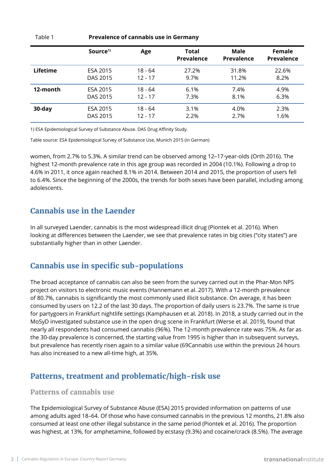|                 | Source <sup>1)</sup> | Age       | <b>Total</b><br><b>Prevalence</b> | Male<br><b>Prevalence</b> | Female<br><b>Prevalence</b> |
|-----------------|----------------------|-----------|-----------------------------------|---------------------------|-----------------------------|
| <b>Lifetime</b> | ESA 2015             | 18 - 64   | 27.2%                             | 31.8%                     | 22.6%                       |
|                 | DAS 2015             | $12 - 17$ | 9.7%                              | 11.2%                     | 8.2%                        |
| 12-month        | ESA 2015             | 18 - 64   | 6.1%                              | 7.4%                      | 4.9%                        |
|                 | DAS 2015             | $12 - 17$ | 7.3%                              | 8.1%                      | 6.3%                        |
| 30-day          | ESA 2015             | 18 - 64   | 3.1%                              | 4.0%                      | 2.3%                        |
|                 | DAS 2015             | $12 - 17$ | 2.2%                              | 2.7%                      | 1.6%                        |

Table 1 **Prevalence of cannabis use in Germany**

1) ESA Epidemiological Survey of Substance Abuse. DAS Drug Affinity Study.

Table source: ESA Epidemiological Survey of Substance Use, Munich 2015 (in German)

women, from 2.7% to 5.3%. A similar trend can be observed among 12–17-year-olds (Orth 2016). The highest 12-month prevalence rate in this age group was recorded in 2004 (10.1%). Following a drop to 4.6% in 2011, it once again reached 8.1% in 2014. Between 2014 and 2015, the proportion of users fell to 6.4%. Since the beginning of the 2000s, the trends for both sexes have been parallel, including among adolescents.

### **Cannabis use in the Laender**

In all surveyed Laender, cannabis is the most widespread illicit drug (Piontek et al. 2016). When looking at differences between the Laender, we see that prevalence rates in big cities ("city states") are substantially higher than in other Laender.

### **Cannabis use in specific sub-populations**

The broad acceptance of cannabis can also be seen from the survey carried out in the Phar-Mon NPS project on visitors to electronic music events (Hannemann et al. 2017). With a 12-month prevalence of 80.7%, cannabis is significantly the most commonly used illicit substance. On average, it has been consumed by users on 12.2 of the last 30 days. The proportion of daily users is 23.7%. The same is true for partygoers in Frankfurt nightlife settings (Kamphausen et al. 2018). In 2018, a study carried out in the MoSyD investigated substance use in the open drug scene in Frankfurt (Werse et al. 2019), found that nearly all respondents had consumed cannabis (96%). The 12-month prevalence rate was 75%. As far as the 30-day prevalence is concerned, the starting value from 1995 is higher than in subsequent surveys, but prevalence has recently risen again to a similar value (69Cannabis use within the previous 24 hours has also increased to a new all-time high, at 35%.

### **Patterns, treatment and problematic/high-risk use**

### **Patterns of cannabis use**

The Epidemiological Survey of Substance Abuse (ESA) 2015 provided information on patterns of use among adults aged 18–64. Of those who have consumed cannabis in the previous 12 months, 21.8% also consumed at least one other illegal substance in the same period (Piontek et al. 2016). The proportion was highest, at 13%, for amphetamine, followed by ecstasy (9.3%) and cocaine/crack (8.5%). The average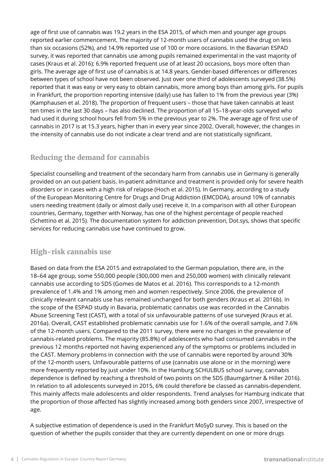age of first use of cannabis was 19.2 years in the ESA 2015, of which men and younger age groups reported earlier commencement. The majority of 12-month users of cannabis used the drug on less than six occasions (52%), and 14.9% reported use of 100 or more occasions. In the Bavarian ESPAD survey, it was reported that cannabis use among pupils remained experimental in the vast majority of cases (Kraus et al. 2016); 6.9% reported frequent use of at least 20 occasions, boys more often than girls. The average age of first use of cannabis is at 14.8 years. Gender-based differences or differences between types of school have not been observed. Just over one third of adolescents surveyed (38.5%) reported that it was easy or very easy to obtain cannabis, more among boys than among girls. For pupils in Frankfurt, the proportion reporting intensive (daily) use has fallen to 1% from the previous year (3%) (Kamphausen et al. 2018). The proportion of frequent users – those that have taken cannabis at least ten times in the last 30 days – has also declined. The proportion of all 15–18-year-olds surveyed who had used it during school hours fell from 5% in the previous year to 2%. The average age of first use of cannabis in 2017 is at 15.3 years, higher than in every year since 2002. Overall, however, the changes in the intensity of cannabis use do not indicate a clear trend and are not statistically significant.

### **Reducing the demand for cannabis**

Specialist counselling and treatment of the secondary harm from cannabis use in Germany is generally provided on an out-patient basis. In-patient admittance and treatment is provided only for severe health disorders or in cases with a high risk of relapse (Hoch et al. 2015). In Germany, according to a study of the European Monitoring Centre for Drugs and Drug Addiction (EMCDDA), around 10% of cannabis users needing treatment (daily or almost daily use) receive it. In a comparison with all other European countries, Germany, together with Norway, has one of the highest percentage of people reached (Schettino et al. 2015). The documentation system for addiction prevention, Dot.sys, shows that specific services for reducing cannabis use have continued to grow.

### **High-risk cannabis use**

Based on data from the ESA 2015 and extrapolated to the German population, there are, in the 18–64 age group, some 550,000 people (300,000 men and 250,000 women) with clinically relevant cannabis use according to SDS (Gomes de Matos et al. 2016). This corresponds to a 12-month prevalence of 1.4% and 1% among men and women respectively. Since 2006, the prevalence of clinically relevant cannabis use has remained unchanged for both genders (Kraus et al. 2016b). In the scope of the ESPAD study in Bavaria, problematic cannabis use was recorded in the Cannabis Abuse Screening Test (CAST), with a total of six unfavourable patterns of use surveyed (Kraus et al. 2016a). Overall, CAST established problematic cannabis use for 1.6% of the overall sample, and 7.6% of the 12-month users. Compared to the 2011 survey, there were no changes in the prevalence of cannabis-related problems. The majority (85.8%) of adolescents who had consumed cannabis in the previous 12 months reported not having experienced any of the symptoms or problems included in the CAST. Memory problems in connection with the use of cannabis were reported by around 30% of the 12-month users. Unfavourable patterns of use (cannabis use alone or in the morning) were more frequently reported by just under 10%. In the Hamburg SCHULBUS school survey, cannabis dependence is defined by reaching a threshold of two points on the SDS (Baumgärtner & Hiller 2016). In relation to all adolescents surveyed in 2015, 6% could therefore be classed as cannabis-dependent. This mainly affects male adolescents and older respondents. Trend analyses for Hamburg indicate that the proportion of those affected has slightly increased among both genders since 2007, irrespective of age.

A subjective estimation of dependence is used in the Frankfurt MoSyD survey. This is based on the question of whether the pupils consider that they are currently dependent on one or more drugs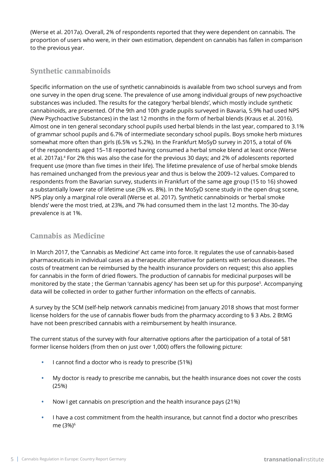(Werse et al. 2017a). Overall, 2% of respondents reported that they were dependent on cannabis. The proportion of users who were, in their own estimation, dependent on cannabis has fallen in comparison to the previous year.

### **Synthetic cannabinoids**

Specific information on the use of synthetic cannabinoids is available from two school surveys and from one survey in the open drug scene. The prevalence of use among individual groups of new psychoactive substances was included. The results for the category 'herbal blends', which mostly include synthetic cannabinoids, are presented. Of the 9th and 10th grade pupils surveyed in Bavaria, 5.9% had used NPS (New Psychoactive Substances) in the last 12 months in the form of herbal blends (Kraus et al. 2016). Almost one in ten general secondary school pupils used herbal blends in the last year, compared to 3.1% of grammar school pupils and 6.7% of intermediate secondary school pupils. Boys smoke herb mixtures somewhat more often than girls (6.5% vs 5.2%). In the Frankfurt MoSyD survey in 2015, a total of 6% of the respondents aged 15–18 reported having consumed a herbal smoke blend at least once (Werse et al. 2017a).4 For 2% this was also the case for the previous 30 days; and 2% of adolescents reported frequent use (more than five times in their life). The lifetime prevalence of use of herbal smoke blends has remained unchanged from the previous year and thus is below the 2009–12 values. Compared to respondents from the Bavarian survey, students in Frankfurt of the same age group (15 to 16) showed a substantially lower rate of lifetime use (3% vs. 8%). In the MoSyD scene study in the open drug scene, NPS play only a marginal role overall (Werse et al. 2017). Synthetic cannabinoids or 'herbal smoke blends' were the most tried, at 23%, and 7% had consumed them in the last 12 months. The 30-day prevalence is at 1%.

### **Cannabis as Medicine**

In March 2017, the 'Cannabis as Medicine' Act came into force. It regulates the use of cannabis-based pharmaceuticals in individual cases as a therapeutic alternative for patients with serious diseases. The costs of treatment can be reimbursed by the health insurance providers on request; this also applies for cannabis in the form of dried flowers. The production of cannabis for medicinal purposes will be monitored by the state ; the German 'cannabis agency' has been set up for this purpose5. Accompanying data will be collected in order to gather further information on the effects of cannabis.

A survey by the SCM (self-help network cannabis medicine) from January 2018 shows that most former license holders for the use of cannabis flower buds from the pharmacy according to § 3 Abs. 2 BtMG have not been prescribed cannabis with a reimbursement by health insurance.

The current status of the survey with four alternative options after the participation of a total of 581 former license holders (from then on just over 1,000) offers the following picture:

- **•** I cannot find a doctor who is ready to prescribe (51%)
- **•** My doctor is ready to prescribe me cannabis, but the health insurance does not cover the costs (25%)
- **•** Now I get cannabis on prescription and the health insurance pays (21%)
- **•** I have a cost commitment from the health insurance, but cannot find a doctor who prescribes me (3%)<sup>6</sup>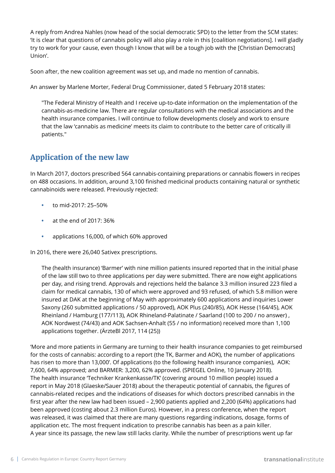A reply from Andrea Nahles (now head of the social democratic SPD) to the letter from the SCM states: 'It is clear that questions of cannabis policy will also play a role in this [coalition negotiations]. I will gladly try to work for your cause, even though I know that will be a tough job with the [Christian Democrats] Union'.

Soon after, the new coalition agreement was set up, and made no mention of cannabis.

An answer by Marlene Morter, Federal Drug Commissioner, dated 5 February 2018 states:

"The Federal Ministry of Health and I receive up-to-date information on the implementation of the cannabis-as-medicine law. There are regular consultations with the medical associations and the health insurance companies. I will continue to follow developments closely and work to ensure that the law 'cannabis as medicine' meets its claim to contribute to the better care of critically ill patients."

### **Application of the new law**

In March 2017, doctors prescribed 564 cannabis-containing preparations or cannabis flowers in recipes on 488 occasions. In addition, around 3,100 finished medicinal products containing natural or synthetic cannabinoids were released. Previously rejected:

- **•** to mid-2017: 25–50%
- **•** at the end of 2017: 36%
- **•** applications 16,000, of which 60% approved

In 2016, there were 26,040 Sativex prescriptions.

The (health insurance) 'Barmer' with nine million patients insured reported that in the initial phase of the law still two to three applications per day were submitted. There are now eight applications per day, and rising trend. Approvals and rejections held the balance 3.3 million insured 223 filed a claim for medical cannabis, 130 of which were approved and 93 refused, of which 5.8 million were insured at DAK at the beginning of May with approximately 600 applications and inquiries Lower Saxony (260 submitted applications / 50 approved), AOK Plus (240/85), AOK Hesse (164/45), AOK Rheinland / Hamburg (177/113), AOK Rhineland-Palatinate / Saarland (100 to 200 / no answer) , AOK Nordwest (74/43) and AOK Sachsen-Anhalt (55 / no information) received more than 1,100 applications together. (ÄrzteBl 2017, 114 (25))

'More and more patients in Germany are turning to their health insurance companies to get reimbursed for the costs of cannabis: according to a report (the TK, Barmer and AOK), the number of applications has risen to more than 13,000'. Of applications (to the following health insurance companies), AOK: 7,600, 64% approved; and BARMER: 3,200, 62% approved. (SPIEGEL Online, 10 January 2018). The health insurance 'Techniker Krankenkasse/TK' (covering around 10 million people) issued a report in May 2018 (Glaeske/Sauer 2018) about the therapeutic potential of cannabis, the figures of cannabis-related recipes and the indications of diseases for which doctors prescribed cannabis in the first year after the new law had been issued – 2,900 patients applied and 2,200 (64%) applications had been approved (costing about 2.3 million Euros). However, in a press conference, when the report was released, it was claimed that there are many questions regarding indications, dosage, forms of application etc. The most frequent indication to prescribe cannabis has been as a pain killer. A year since its passage, the new law still lacks clarity. While the number of prescriptions went up far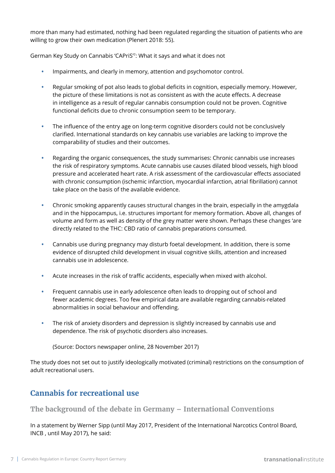more than many had estimated, nothing had been regulated regarding the situation of patients who are willing to grow their own medication (Plenert 2018: 55).

German Key Study on Cannabis 'CAPriS'<sup>7</sup>: What it says and what it does not

- **•** Impairments, and clearly in memory, attention and psychomotor control.
- **•** Regular smoking of pot also leads to global deficits in cognition, especially memory. However, the picture of these limitations is not as consistent as with the acute effects. A decrease in intelligence as a result of regular cannabis consumption could not be proven. Cognitive functional deficits due to chronic consumption seem to be temporary.
- **•** The influence of the entry age on long-term cognitive disorders could not be conclusively clarified. International standards on key cannabis use variables are lacking to improve the comparability of studies and their outcomes.
- **•** Regarding the organic consequences, the study summarises: Chronic cannabis use increases the risk of respiratory symptoms. Acute cannabis use causes dilated blood vessels, high blood pressure and accelerated heart rate. A risk assessment of the cardiovascular effects associated with chronic consumption (ischemic infarction, myocardial infarction, atrial fibrillation) cannot take place on the basis of the available evidence.
- **•** Chronic smoking apparently causes structural changes in the brain, especially in the amygdala and in the hippocampus, i.e. structures important for memory formation. Above all, changes of volume and form as well as density of the grey matter were shown. Perhaps these changes 'are directly related to the THC: CBD ratio of cannabis preparations consumed.
- **•** Cannabis use during pregnancy may disturb foetal development. In addition, there is some evidence of disrupted child development in visual cognitive skills, attention and increased cannabis use in adolescence.
- **•** Acute increases in the risk of traffic accidents, especially when mixed with alcohol.
- **•** Frequent cannabis use in early adolescence often leads to dropping out of school and fewer academic degrees. Too few empirical data are available regarding cannabis-related abnormalities in social behaviour and offending.
- **•** The risk of anxiety disorders and depression is slightly increased by cannabis use and dependence. The risk of psychotic disorders also increases.

(Source: Doctors newspaper online, 28 November 2017)

The study does not set out to justify ideologically motivated (criminal) restrictions on the consumption of adult recreational users.

### **Cannabis for recreational use**

**The background of the debate in Germany – International Conventions**

In a statement by Werner Sipp (until May 2017, President of the International Narcotics Control Board, INCB , until May 2017), he said: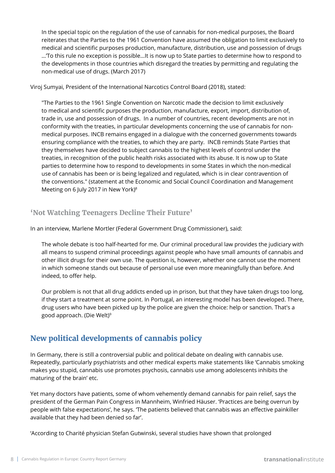In the special topic on the regulation of the use of cannabis for non-medical purposes, the Board reiterates that the Parties to the 1961 Convention have assumed the obligation to limit exclusively to medical and scientific purposes production, manufacture, distribution, use and possession of drugs …'To this rule no exception is possible…It is now up to State parties to determine how to respond to the developments in those countries which disregard the treaties by permitting and regulating the non-medical use of drugs. (March 2017)

Viroj Sumyai, President of the International Narcotics Control Board (2018), stated:

"The Parties to the 1961 Single Convention on Narcotic made the decision to limit exclusively to medical and scientific purposes the production, manufacture, export, import, distribution of, trade in, use and possession of drugs. In a number of countries, recent developments are not in conformity with the treaties, in particular developments concerning the use of cannabis for nonmedical purposes. INCB remains engaged in a dialogue with the concerned governments towards ensuring compliance with the treaties, to which they are party. INCB reminds State Parties that they themselves have decided to subject cannabis to the highest levels of control under the treaties, in recognition of the public health risks associated with its abuse. It is now up to State parties to determine how to respond to developments in some States in which the non-medical use of cannabis has been or is being legalized and regulated, which is in clear contravention of the conventions." (statement at the Economic and Social Council Coordination and Management Meeting on 6 July 2017 in New York)8

### **'Not Watching Teenagers Decline Their Future'**

In an interview, Marlene Mortler (Federal Government Drug Commissioner), said:

The whole debate is too half-hearted for me. Our criminal procedural law provides the judiciary with all means to suspend criminal proceedings against people who have small amounts of cannabis and other illicit drugs for their own use. The question is, however, whether one cannot use the moment in which someone stands out because of personal use even more meaningfully than before. And indeed, to offer help.

Our problem is not that all drug addicts ended up in prison, but that they have taken drugs too long, if they start a treatment at some point. In Portugal, an interesting model has been developed. There, drug users who have been picked up by the police are given the choice: help or sanction. That's a good approach. (Die Welt)<sup>9</sup>

### **New political developments of cannabis policy**

In Germany, there is still a controversial public and political debate on dealing with cannabis use. Repeatedly, particularly psychiatrists and other medical experts make statements like 'Cannabis smoking makes you stupid, cannabis use promotes psychosis, cannabis use among adolescents inhibits the maturing of the brain' etc.

Yet many doctors have patients, some of whom vehemently demand cannabis for pain relief, says the president of the German Pain Congress in Mannheim, Winfried Häuser. 'Practices are being overrun by people with false expectations', he says. 'The patients believed that cannabis was an effective painkiller available that they had been denied so far'.

'According to Charité physician Stefan Gutwinski, several studies have shown that prolonged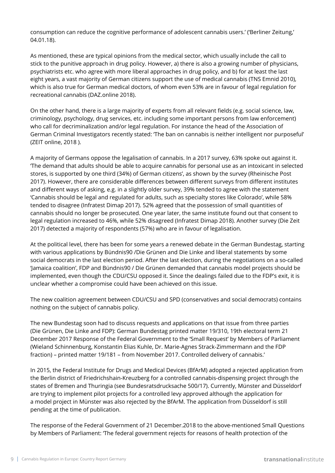consumption can reduce the cognitive performance of adolescent cannabis users.' ('Berliner Zeitung,' 04.01.18).

As mentioned, these are typical opinions from the medical sector, which usually include the call to stick to the punitive approach in drug policy. However, a) there is also a growing number of physicians, psychiatrists etc. who agree with more liberal approaches in drug policy, and b) for at least the last eight years, a vast majority of German citizens support the use of medical cannabis (TNS Emnid 2010), which is also true for German medical doctors, of whom even 53% are in favour of legal regulation for recreational cannabis (DAZ.online 2018).

On the other hand, there is a large majority of experts from all relevant fields (e.g. social science, law, criminology, psychology, drug services, etc. including some important persons from law enforcement) who call for decriminalization and/or legal regulation. For instance the head of the Association of German Criminal Investigators recently stated: 'The ban on cannabis is neither intelligent nor purposeful' (ZEIT online, 2018 ).

A majority of Germans oppose the legalisation of cannabis. In a 2017 survey, 63% spoke out against it. 'The demand that adults should be able to acquire cannabis for personal use as an intoxicant in selected stores, is supported by one third (34%) of German citizens', as shown by the survey (Rheinische Post 2017). However, there are considerable differences between different surveys from different institutes and different ways of asking, e.g. in a slightly older survey, 39% tended to agree with the statement 'Cannabis should be legal and regulated for adults, such as specialty stores like Colorado', while 58% tended to disagree (Infratest Dimap 2017). 52% agreed that the possession of small quantities of cannabis should no longer be prosecuted. One year later, the same institute found out that consent to legal regulation increased to 46%, while 52% disagreed (Infratest Dimap 2018). Another survey (Die Zeit 2017) detected a majority of respondents (57%) who are in favour of legalisation.

At the political level, there has been for some years a renewed debate in the German Bundestag, starting with various applications by Bündnis90 /Die Grünen and Die Linke and liberal statements by some social democrats in the last election period. After the last election, during the negotiations on a so-called 'Jamaica coalition', FDP and Bündnis90 / Die Grünen demanded that cannabis model projects should be implemented, even though the CDU/CSU opposed it. Since the dealings failed due to the FDP's exit, it is unclear whether a compromise could have been achieved on this issue.

The new coalition agreement between CDU/CSU and SPD (conservatives and social democrats) contains nothing on the subject of cannabis policy.

The new Bundestag soon had to discuss requests and applications on that issue from three parties (Die Grünen, Die Linke and FDP): German Bundestag printed matter 19/310, 19th electoral term 21 December 2017 Response of the Federal Government to the 'Small Request' by Members of Parliament (Wieland Schinnenburg, Konstantin Elias Kuhle, Dr. Marie-Agnes Strack-Zimmermann and the FDP fraction) – printed matter 19/181 – from November 2017. Controlled delivery of cannabis.'

In 2015, the Federal Institute for Drugs and Medical Devices (BfArM) adopted a rejected application from the Berlin district of Friedrichshain-Kreuzberg for a controlled cannabis-dispensing project through the states of Bremen and Thuringia (see Bundesratsdrucksache 500/17). Currently, Münster and Düsseldorf are trying to implement pilot projects for a controlled levy approved although the application for a model project in Münster was also rejected by the BfArM. The application from Düsseldorf is still pending at the time of publication.

The response of the Federal Government of 21 December.2018 to the above-mentioned Small Questions by Members of Parliament: 'The federal government rejects for reasons of health protection of the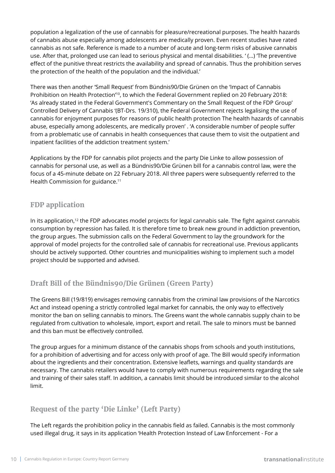population a legalization of the use of cannabis for pleasure/recreational purposes. The health hazards of cannabis abuse especially among adolescents are medically proven. Even recent studies have rated cannabis as not safe. Reference is made to a number of acute and long-term risks of abusive cannabis use. After that, prolonged use can lead to serious physical and mental disabilities. ' (…) 'The preventive effect of the punitive threat restricts the availability and spread of cannabis. Thus the prohibition serves the protection of the health of the population and the individual.'

There was then another 'Small Request' from Bündnis90/Die Grünen on the 'Impact of Cannabis Prohibition on Health Protection<sup>'10</sup>, to which the Federal Government replied on 20 February 2018: 'As already stated in the Federal Government's Commentary on the Small Request of the FDP Group' Controlled Delivery of Cannabis '(BT-Drs. 19/310), the Federal Government rejects legalising the use of cannabis for enjoyment purposes for reasons of public health protection The health hazards of cannabis abuse, especially among adolescents, are medically proven' . 'A considerable number of people suffer from a problematic use of cannabis in health consequences that cause them to visit the outpatient and inpatient facilities of the addiction treatment system.'

Applications by the FDP for cannabis pilot projects and the party Die Linke to allow possession of cannabis for personal use, as well as a Bündnis90/Die Grünen bill for a cannabis control law, were the focus of a 45-minute debate on 22 February 2018. All three papers were subsequently referred to the Health Commission for guidance.<sup>11</sup>

### **FDP application**

In its application,<sup>12</sup> the FDP advocates model projects for legal cannabis sale. The fight against cannabis consumption by repression has failed. It is therefore time to break new ground in addiction prevention, the group argues. The submission calls on the Federal Government to lay the groundwork for the approval of model projects for the controlled sale of cannabis for recreational use. Previous applicants should be actively supported. Other countries and municipalities wishing to implement such a model project should be supported and advised.

### **Draft Bill of the Bündnis90/Die Grünen (Green Party)**

The Greens Bill (19/819) envisages removing cannabis from the criminal law provisions of the Narcotics Act and instead opening a strictly controlled legal market for cannabis, the only way to effectively monitor the ban on selling cannabis to minors. The Greens want the whole cannabis supply chain to be regulated from cultivation to wholesale, import, export and retail. The sale to minors must be banned and this ban must be effectively controlled.

The group argues for a minimum distance of the cannabis shops from schools and youth institutions, for a prohibition of advertising and for access only with proof of age. The Bill would specify information about the ingredients and their concentration. Extensive leaflets, warnings and quality standards are necessary. The cannabis retailers would have to comply with numerous requirements regarding the sale and training of their sales staff. In addition, a cannabis limit should be introduced similar to the alcohol limit.

### **Request of the party 'Die Linke' (Left Party)**

The Left regards the prohibition policy in the cannabis field as failed. Cannabis is the most commonly used illegal drug, it says in its application 'Health Protection Instead of Law Enforcement - For a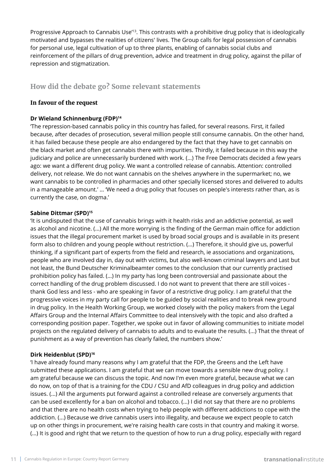Progressive Approach to Cannabis Use'13. This contrasts with a prohibitive drug policy that is ideologically motivated and bypasses the realities of citizens' lives. The Group calls for legal possession of cannabis for personal use, legal cultivation of up to three plants, enabling of cannabis social clubs and reinforcement of the pillars of drug prevention, advice and treatment in drug policy, against the pillar of repression and stigmatization.

### **How did the debate go? Some relevant statements**

#### **In favour of the request**

#### **Dr Wieland Schinnenburg (FDP)14**

'The repression-based cannabis policy in this country has failed, for several reasons. First, it failed because, after decades of prosecution, several million people still consume cannabis. On the other hand, it has failed because these people are also endangered by the fact that they have to get cannabis on the black market and often get cannabis there with impurities. Thirdly, it failed because in this way the judiciary and police are unnecessarily burdened with work. (...) The Free Democrats decided a few years ago: we want a different drug policy. We want a controlled release of cannabis. Attention: controlled delivery, not release. We do not want cannabis on the shelves anywhere in the supermarket; no, we want cannabis to be controlled in pharmacies and other specially licensed stores and delivered to adults in a manageable amount.' … 'We need a drug policy that focuses on people's interests rather than, as is currently the case, on dogma.'

#### **Sabine Dittmar (SPD)15**

'It is undisputed that the use of cannabis brings with it health risks and an addictive potential, as well as alcohol and nicotine. (...) All the more worrying is the finding of the German main office for addiction issues that the illegal procurement market is used by broad social groups and is available in its present form also to children and young people without restriction. (...) Therefore, it should give us, powerful thinking, if a significant part of experts from the field and research, ie associations and organizations, people who are involved day in, day out with victims, but also well-known criminal lawyers and Last but not least, the Bund Deutscher Kriminalbeamter comes to the conclusion that our currently practised prohibition policy has failed. (...) In my party has long been controversial and passionate about the correct handling of the drug problem discussed. I do not want to prevent that there are still voices thank God less and less - who are speaking in favor of a restrictive drug policy. I am grateful that the progressive voices in my party call for people to be guided by social realities and to break new ground in drug policy. In the Health Working Group, we worked closely with the policy makers from the Legal Affairs Group and the Internal Affairs Committee to deal intensively with the topic and also drafted a corresponding position paper. Together, we spoke out in favor of allowing communities to initiate model projects on the regulated delivery of cannabis to adults and to evaluate the results. (...) That the threat of punishment as a way of prevention has clearly failed, the numbers show.'

#### **Dirk Heidenblut (SPD)16**

'I have already found many reasons why I am grateful that the FDP, the Greens and the Left have submitted these applications. I am grateful that we can move towards a sensible new drug policy. I am grateful because we can discuss the topic. And now I'm even more grateful, because what we can do now, on top of that is a training for the CDU / CSU and AfD colleagues in drug policy and addiction issues. (...) All the arguments put forward against a controlled release are conversely arguments that can be used excellently for a ban on alcohol and tobacco. (...) I did not say that there are no problems and that there are no health costs when trying to help people with different addictions to cope with the addiction. (...) Because we drive cannabis users into illegality, and because we expect people to catch up on other things in procurement, we're raising health care costs in that country and making it worse. (...) It is good and right that we return to the question of how to run a drug policy, especially with regard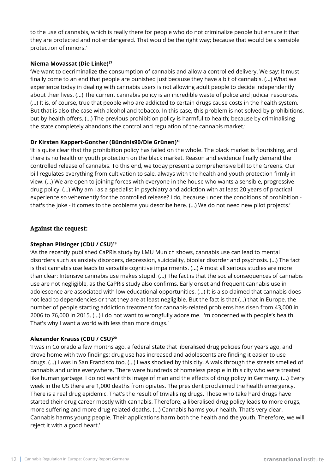to the use of cannabis, which is really there for people who do not criminalize people but ensure it that they are protected and not endangered. That would be the right way; because that would be a sensible protection of minors.'

#### **Niema Movassat (Die Linke)17**

'We want to decriminalize the consumption of cannabis and allow a controlled delivery. We say: It must finally come to an end that people are punished just because they have a bit of cannabis. (...) What we experience today in dealing with cannabis users is not allowing adult people to decide independently about their lives. (...) The current cannabis policy is an incredible waste of police and judicial resources. (...) It is, of course, true that people who are addicted to certain drugs cause costs in the health system. But that is also the case with alcohol and tobacco. In this case, this problem is not solved by prohibitions, but by health offers. (...) The previous prohibition policy is harmful to health; because by criminalising the state completely abandons the control and regulation of the cannabis market.'

#### **Dr Kirsten Kappert-Gonther (Bündnis90/Die Grünen)18**

'It is quite clear that the prohibition policy has failed on the whole. The black market is flourishing, and there is no health or youth protection on the black market. Reason and evidence finally demand the controlled release of cannabis. To this end, we today present a comprehensive bill to the Greens. Our bill regulates everything from cultivation to sale, always with the health and youth protection firmly in view. (...) We are open to joining forces with everyone in the house who wants a sensible, progressive drug policy. (...) Why am I as a specialist in psychiatry and addiction with at least 20 years of practical experience so vehemently for the controlled release? I do, because under the conditions of prohibition that's the joke - it comes to the problems you describe here. (...) We do not need new pilot projects.'

#### **Against the request:**

#### **Stephan Pilsinger (CDU / CSU)19**

'As the recently published CaPRis study by LMU Munich shows, cannabis use can lead to mental disorders such as anxiety disorders, depression, suicidality, bipolar disorder and psychosis. (...) The fact is that cannabis use leads to versatile cognitive impairments. (...) Almost all serious studies are more than clear: Intensive cannabis use makes stupid! (...) The fact is that the social consequences of cannabis use are not negligible, as the CaPRis study also confirms. Early onset and frequent cannabis use in adolescence are associated with low educational opportunities. (...) It is also claimed that cannabis does not lead to dependencies or that they are at least negligible. But the fact is that (...) that in Europe, the number of people starting addiction treatment for cannabis-related problems has risen from 43,000 in 2006 to 76,000 in 2015. (...) I do not want to wrongfully adore me. I'm concerned with people's health. That's why I want a world with less than more drugs.'

#### **Alexander Krauss (CDU / CSU)20**

'I was in Colorado a few months ago, a federal state that liberalised drug policies four years ago, and drove home with two findings: drug use has increased and adolescents are finding it easier to use drugs. (...) I was in San Francisco too. (...) I was shocked by this city. A walk through the streets smelled of cannabis and urine everywhere. There were hundreds of homeless people in this city who were treated like human garbage. I do not want this image of man and the effects of drug policy in Germany. (...) Every week in the US there are 1,000 deaths from opiates. The president proclaimed the health emergency. There is a real drug epidemic. That's the result of trivialising drugs. Those who take hard drugs have started their drug career mostly with cannabis. Therefore, a liberalised drug policy leads to more drugs, more suffering and more drug-related deaths. (...) Cannabis harms your health. That's very clear. Cannabis harms young people. Their applications harm both the health and the youth. Therefore, we will reject it with a good heart.'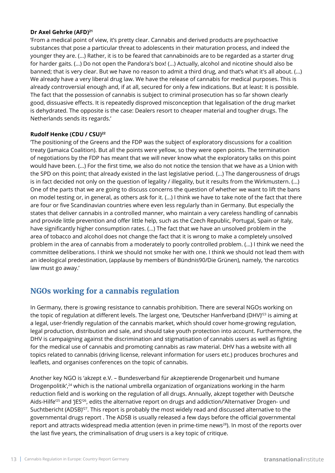#### **Dr Axel Gehrke (AFD)21**

'From a medical point of view, it's pretty clear. Cannabis and derived products are psychoactive substances that pose a particular threat to adolescents in their maturation process, and indeed the younger they are. (...) Rather, it is to be feared that cannabinoids are to be regarded as a starter drug for harder gaits. (...) Do not open the Pandora's box! (...) Actually, alcohol and nicotine should also be banned; that is very clear. But we have no reason to admit a third drug, and that's what it's all about. (...) We already have a very liberal drug law. We have the release of cannabis for medical purposes. This is already controversial enough and, if at all, secured for only a few indications. But at least: It is possible. The fact that the possession of cannabis is subject to criminal prosecution has so far shown clearly good, dissuasive effects. It is repeatedly disproved misconception that legalisation of the drug market is dehydrated. The opposite is the case: Dealers resort to cheaper material and tougher drugs. The Netherlands sends its regards.'

#### **Rudolf Henke (CDU / CSU)22**

'The positioning of the Greens and the FDP was the subject of exploratory discussions for a coalition treaty (Jamaica Coalition). But all the points were yellow, so they were open points. The termination of negotiations by the FDP has meant that we will never know what the exploratory talks on this point would have been. (...) For the first time, we also do not notice the tension that we have as a Union with the SPD on this point; that already existed in the last legislative period. (...) The dangerousness of drugs is in fact decided not only on the question of legality / illegality, but it results from the Wirkmustern. (...) One of the parts that we are going to discuss concerns the question of whether we want to lift the bans on model testing or, in general, as others ask for it. (...) I think we have to take note of the fact that there are four or five Scandinavian countries where even less regularly than in Germany. But especially the states that deliver cannabis in a controlled manner, who maintain a very careless handling of cannabis and provide little prevention and offer little help, such as the Czech Republic, Portugal, Spain or Italy, have significantly higher consumption rates. (...) The fact that we have an unsolved problem in the area of tobacco and alcohol does not change the fact that it is wrong to make a completely unsolved problem in the area of cannabis from a moderately to poorly controlled problem. (...) I think we need the committee deliberations. I think we should not smoke her with one. I think we should not lead them with an ideological predestination, (applause by members of Bündnis90/Die Grünen), namely, 'the narcotics law must go away.'

### **NGOs working for a cannabis regulation**

In Germany, there is growing resistance to cannabis prohibition. There are several NGOs working on the topic of regulation at different levels. The largest one, 'Deutscher Hanfverband (DHV)<sup>'23</sup> is aiming at a legal, user-friendly regulation of the cannabis market, which should cover home-growing regulation, legal production, distribution and sale, and should take youth protection into account. Furthermore, the DHV is campaigning against the discrimination and stigmatisation of cannabis users as well as fighting for the medical use of cannabis and promoting cannabis as raw material. DHV has a website with all topics related to cannabis (driving license, relevant information for users etc.) produces brochures and leaflets, and organises conferences on the topic of cannabis.

Another key NGO is 'akzept e.V. – Bundesverband für akzeptierende Drogenarbeit und humane Drogenpolitik',<sup>24</sup> which is the national umbrella organization of organizations working in the harm reduction field and is working on the regulation of all drugs. Annually, akzept together with Deutsche Aids-Hilfe'<sup>25</sup> and 'JES'<sup>26</sup>, edits the alternative report on drugs and addiction/'Alternativer Drogen- und Suchtbericht (ADSB)<sup>'27</sup>. This report is probably the most widely read and discussed alternative to the governmental drugs report . The ADSB is usually released a few days before the official governmental report and attracts widespread media attention (even in prime-time news<sup>28</sup>). In most of the reports over the last five years, the criminalisation of drug users is a key topic of critique.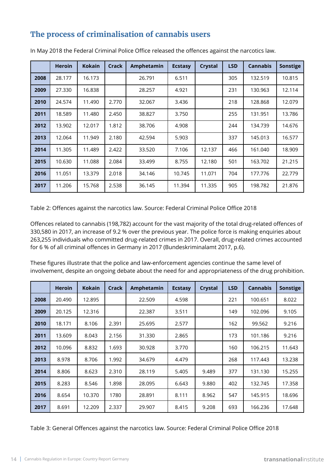### **The process of criminalisation of cannabis users**

|      | <b>Heroin</b> | <b>Kokain</b> | Crack | Amphetamin | <b>Ecstasy</b> | Crystal | <b>LSD</b> | <b>Cannabis</b> | Sonstige |
|------|---------------|---------------|-------|------------|----------------|---------|------------|-----------------|----------|
| 2008 | 28.177        | 16.173        |       | 26.791     | 6.511          |         | 305        | 132.519         | 10.815   |
| 2009 | 27.330        | 16.838        |       | 28.257     | 4.921          |         | 231        | 130.963         | 12.114   |
| 2010 | 24.574        | 11.490        | 2.770 | 32.067     | 3.436          |         | 218        | 128.868         | 12.079   |
| 2011 | 18.589        | 11.480        | 2.450 | 38.827     | 3.750          |         | 255        | 131.951         | 13.786   |
| 2012 | 13.902        | 12.017        | 1.812 | 38.706     | 4.908          |         | 244        | 134.739         | 14.676   |
| 2013 | 12.064        | 11.949        | 2.180 | 42.594     | 5.903          |         | 337        | 145.013         | 16.577   |
| 2014 | 11.305        | 11.489        | 2.422 | 33.520     | 7.106          | 12.137  | 466        | 161.040         | 18.909   |
| 2015 | 10.630        | 11.088        | 2.084 | 33.499     | 8.755          | 12.180  | 501        | 163.702         | 21.215   |
| 2016 | 11.051        | 13.379        | 2.018 | 34.146     | 10.745         | 11.071  | 704        | 177.776         | 22.779   |
| 2017 | 11.206        | 15.768        | 2.538 | 36.145     | 11.394         | 11.335  | 905        | 198.782         | 21.876   |

In May 2018 the Federal Criminal Police Office released the offences against the narcotics law.

Table 2: Offences against the narcotics law. Source: Federal Criminal Police Office 2018

Offences related to cannabis (198,782) account for the vast majority of the total drug-related offences of 330,580 in 2017, an increase of 9.2 % over the previous year. The police force is making enquiries about 263,255 individuals who committed drug-related crimes in 2017. Overall, drug-related crimes accounted for 6 % of all criminal offences in Germany in 2017 (Bundeskriminalamt 2017, p.6).

These figures illustrate that the police and law-enforcement agencies continue the same level of involvement, despite an ongoing debate about the need for and appropriateness of the drug prohibition.

|      | <b>Heroin</b> | <b>Kokain</b> | Crack | Amphetamin | <b>Ecstasy</b> | Crystal | <b>LSD</b> | <b>Cannabis</b> | <b>Sonstige</b> |
|------|---------------|---------------|-------|------------|----------------|---------|------------|-----------------|-----------------|
| 2008 | 20.490        | 12.895        |       | 22.509     | 4.598          |         | 221        | 100.651         | 8.022           |
| 2009 | 20.125        | 12.316        |       | 22.387     | 3.511          |         | 149        | 102.096         | 9.105           |
| 2010 | 18.171        | 8.106         | 2.391 | 25.695     | 2.577          |         | 162        | 99.562          | 9.216           |
| 2011 | 13.609        | 8.043         | 2.156 | 31.330     | 2.865          |         | 173        | 101.186         | 9.216           |
| 2012 | 10.096        | 8.832         | 1.693 | 30.928     | 3.770          |         | 160        | 106.215         | 11.643          |
| 2013 | 8.978         | 8.706         | 1.992 | 34.679     | 4.479          |         | 268        | 117.443         | 13.238          |
| 2014 | 8.806         | 8.623         | 2.310 | 28.119     | 5.405          | 9.489   | 377        | 131.130         | 15.255          |
| 2015 | 8.283         | 8.546         | 1.898 | 28.095     | 6.643          | 9.880   | 402        | 132.745         | 17.358          |
| 2016 | 8.654         | 10.370        | 1780  | 28.891     | 8.111          | 8.962   | 547        | 145.915         | 18.696          |
| 2017 | 8.691         | 12.209        | 2.337 | 29.907     | 8.415          | 9.208   | 693        | 166.236         | 17.648          |

Table 3: General Offences against the narcotics law. Source: Federal Criminal Police Office 2018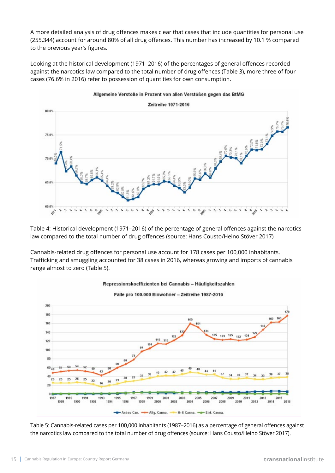A more detailed analysis of drug offences makes clear that cases that include quantities for personal use (255,344) account for around 80% of all drug offences. This number has increased by 10.1 % compared to the previous year's figures.

Looking at the historical development (1971–2016) of the percentages of general offences recorded against the narcotics law compared to the total number of drug offences (Table 3), more three of four cases (76.6% in 2016) refer to possession of quantities for own consumption.



Table 4: Historical development (1971–2016) of the percentage of general offences against the narcotics law compared to the total number of drug offences (source: Hans Cousto/Heino Stöver 2017)

Cannabis-related drug offences for personal use account for 178 cases per 100,000 inhabitants. Trafficking and smuggling accounted for 38 cases in 2016, whereas growing and imports of cannabis range almost to zero (Table 5).



Table 5: Cannabis-related cases per 100,000 inhabitants (1987–2016) as a percentage of general offences against the narcotics law compared to the total number of drug offences (source: Hans Cousto/Heino Stöver 2017).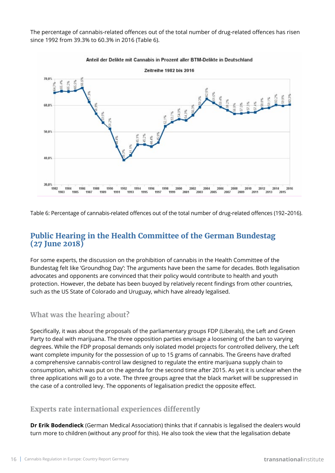The percentage of cannabis-related offences out of the total number of drug-related offences has risen since 1992 from 39.3% to 60.3% in 2016 (Table 6).



Table 6: Percentage of cannabis-related offences out of the total number of drug-related offences (192–2016).

### **Public Hearing in the Health Committee of the German Bundestag (27 June 2018)**

For some experts, the discussion on the prohibition of cannabis in the Health Committee of the Bundestag felt like 'Groundhog Day': The arguments have been the same for decades. Both legalisation advocates and opponents are convinced that their policy would contribute to health and youth protection. However, the debate has been buoyed by relatively recent findings from other countries, such as the US State of Colorado and Uruguay, which have already legalised.

### **What was the hearing about?**

Specifically, it was about the proposals of the parliamentary groups FDP (Liberals), the Left and Green Party to deal with marijuana. The three opposition parties envisage a loosening of the ban to varying degrees. While the FDP proposal demands only isolated model projects for controlled delivery, the Left want complete impunity for the possession of up to 15 grams of cannabis. The Greens have drafted a comprehensive cannabis-control law designed to regulate the entire marijuana supply chain to consumption, which was put on the agenda for the second time after 2015. As yet it is unclear when the three applications will go to a vote. The three groups agree that the black market will be suppressed in the case of a controlled levy. The opponents of legalisation predict the opposite effect.

### **Experts rate international experiences differently**

**Dr Erik Bodendieck** (German Medical Association) thinks that if cannabis is legalised the dealers would turn more to children (without any proof for this). He also took the view that the legalisation debate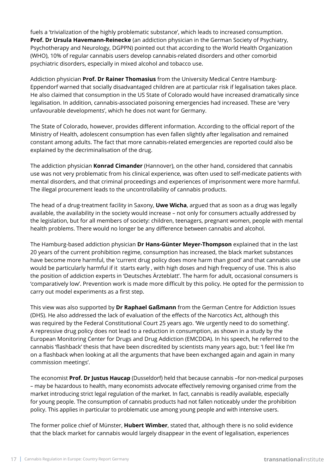fuels a 'trivialization of the highly problematic substance', which leads to increased consumption. **Prof. Dr Ursula Havemann-Reinecke** (an addiction physician in the German Society of Psychiatry, Psychotherapy and Neurology, DGPPN) pointed out that according to the World Health Organization (WHO), 10% of regular cannabis users develop cannabis-related disorders and other comorbid psychiatric disorders, especially in mixed alcohol and tobacco use.

Addiction physician **Prof. Dr Rainer Thomasius** from the University Medical Centre Hamburg-Eppendorf warned that socially disadvantaged children are at particular risk if legalisation takes place. He also claimed that consumption in the US State of Colorado would have increased dramatically since legalisation. In addition, cannabis-associated poisoning emergencies had increased. These are 'very unfavourable developments', which he does not want for Germany.

The State of Colorado, however, provides different information. According to the official report of the Ministry of Health, adolescent consumption has even fallen slightly after legalisation and remained constant among adults. The fact that more cannabis-related emergencies are reported could also be explained by the decriminalisation of the drug.

The addiction physician **Konrad Cimander** (Hannover), on the other hand, considered that cannabis use was not very problematic from his clinical experience, was often used to self-medicate patients with mental disorders, and that criminal proceedings and experiences of imprisonment were more harmful. The illegal procurement leads to the uncontrollability of cannabis products.

The head of a drug-treatment facility in Saxony, **Uwe Wicha**, argued that as soon as a drug was legally available, the availability in the society would increase – not only for consumers actually addressed by the legislation, but for all members of society: children, teenagers, pregnant women, people with mental health problems. There would no longer be any difference between cannabis and alcohol.

The Hamburg-based addiction physician **Dr Hans-Günter Meyer-Thompson** explained that in the last 20 years of the current prohibition regime, consumption has increased, the black market substances have become more harmful, the 'current drug policy does more harm than good' and that cannabis use would be particularly harmful if it starts early , with high doses and high frequency of use. This is also the position of addiction experts in 'Deutsches Ärzteblatt'. The harm for adult, occasional consumers is 'comparatively low'. Prevention work is made more difficult by this policy. He opted for the permission to carry out model experiments as a first step.

This view was also supported by **Dr Raphael Gaßmann** from the German Centre for Addiction Issues (DHS). He also addressed the lack of evaluation of the effects of the Narcotics Act, although this was required by the Federal Constitutional Court 25 years ago. 'We urgently need to do something'. A repressive drug policy does not lead to a reduction in consumption, as shown in a study by the European Monitoring Center for Drugs and Drug Addiction (EMCDDA). In his speech, he referred to the cannabis 'flashback' thesis that have been discredited by scientists many years ago, but: 'I feel like I'm on a flashback when looking at all the arguments that have been exchanged again and again in many commission meetings'.

The economist **Prof. Dr Justus Haucap** (Dusseldorf) held that because cannabis –for non-medical purposes – may be hazardous to health, many economists advocate effectively removing organised crime from the market introducing strict legal regulation of the market. In fact, cannabis is readily available, especially for young people. The consumption of cannabis products had not fallen noticeably under the prohibition policy. This applies in particular to problematic use among young people and with intensive users.

The former police chief of Münster, **Hubert Wimber**, stated that, although there is no solid evidence that the black market for cannabis would largely disappear in the event of legalisation, experiences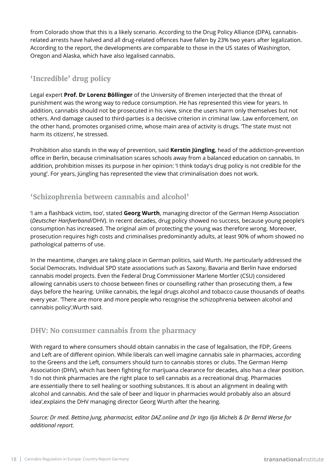from Colorado show that this is a likely scenario. According to the Drug Policy Alliance (DPA), cannabisrelated arrests have halved and all drug-related offences have fallen by 23% two years after legalization. According to the report, the developments are comparable to those in the US states of Washington, Oregon and Alaska, which have also legalised cannabis.

### **'Incredible' drug policy**

Legal expert **Prof. Dr Lorenz Böllinger** of the University of Bremen interjected that the threat of punishment was the wrong way to reduce consumption. He has represented this view for years. In addition, cannabis should not be prosecuted in his view, since the users harm only themselves but not others. And damage caused to third-parties is a decisive criterion in criminal law. Law enforcement, on the other hand, promotes organised crime, whose main area of activity is drugs. 'The state must not harm its citizens', he stressed.

Prohibition also stands in the way of prevention, said **Kerstin Jüngling**, head of the addiction-prevention office in Berlin, because criminalisation scares schools away from a balanced education on cannabis. In addition, prohibition misses its purpose in her opinion: 'I think today's drug policy is not credible for the young'. For years, Jüngling has represented the view that criminalisation does not work.

### **'Schizophrenia between cannabis and alcohol'**

'I am a flashback victim, too', stated **Georg Wurth**, managing director of the German Hemp Association (*Deutscher Hanfverband*/DHV). In recent decades, drug policy showed no success, because young people's consumption has increased. The original aim of protecting the young was therefore wrong. Moreover, prosecution requires high costs and criminalises predominantly adults, at least 90% of whom showed no pathological patterns of use.

In the meantime, changes are taking place in German politics, said Wurth. He particularly addressed the Social Democrats. Individual SPD state associations such as Saxony, Bavaria and Berlin have endorsed cannabis model projects. Even the Federal Drug Commissioner Marlene Mortler (CSU) considered allowing cannabis users to choose between fines or counselling rather than prosecuting them, a few days before the hearing. Unlike cannabis, the legal drugs alcohol and tobacco cause thousands of deaths every year. 'There are more and more people who recognise the schizophrenia between alcohol and cannabis policy',Wurth said.

### **DHV: No consumer cannabis from the pharmacy**

With regard to where consumers should obtain cannabis in the case of legalisation, the FDP, Greens and Left are of different opinion. While liberals can well imagine cannabis sale in pharmacies, according to the Greens and the Left, consumers should turn to cannabis stores or clubs. The German Hemp Association (DHV), which has been fighting for marijuana clearance for decades, also has a clear position. 'I do not think pharmacies are the right place to sell cannabis as a recreational drug. Pharmacies are essentially there to sell healing or soothing substances. It is about an alignment in dealing with alcohol and cannabis. And the sale of beer and liquor in pharmacies would probably also an absurd idea',explains the DHV managing director Georg Wurth after the hearing.

*Source: Dr med. Bettina Jung, pharmacist, editor DAZ.online and Dr Ingo Ilja Michels & Dr Bernd Werse for additional report.*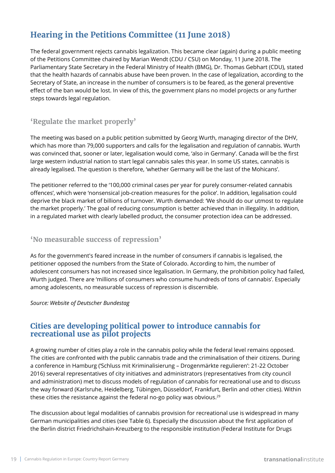## **Hearing in the Petitions Committee (11 June 2018)**

The federal government rejects cannabis legalization. This became clear (again) during a public meeting of the Petitions Committee chaired by Marian Wendt (CDU / CSU) on Monday, 11 June 2018. The Parliamentary State Secretary in the Federal Ministry of Health (BMG), Dr. Thomas Gebhart (CDU), stated that the health hazards of cannabis abuse have been proven. In the case of legalization, according to the Secretary of State, an increase in the number of consumers is to be feared, as the general preventive effect of the ban would be lost. In view of this, the government plans no model projects or any further steps towards legal regulation.

### **'Regulate the market properly'**

The meeting was based on a public petition submitted by Georg Wurth, managing director of the DHV, which has more than 79,000 supporters and calls for the legalisation and regulation of cannabis. Wurth was convinced that, sooner or later, legalisation would come, 'also in Germany'. Canada will be the first large western industrial nation to start legal cannabis sales this year. In some US states, cannabis is already legalised. The question is therefore, 'whether Germany will be the last of the Mohicans'.

The petitioner referred to the '100,000 criminal cases per year for purely consumer-related cannabis offences', which were 'nonsensical job-creation measures for the police'. In addition, legalisation could deprive the black market of billions of turnover. Wurth demanded: 'We should do our utmost to regulate the market properly.' The goal of reducing consumption is better achieved than in illegality. In addition, in a regulated market with clearly labelled product, the consumer protection idea can be addressed.

### **'No measurable success of repression'**

As for the government's feared increase in the number of consumers if cannabis is legalised, the petitioner opposed the numbers from the State of Colorado. According to him, the number of adolescent consumers has not increased since legalisation. In Germany, the prohibition policy had failed, Wurth judged. There are 'millions of consumers who consume hundreds of tons of cannabis'. Especially among adolescents, no measurable success of repression is discernible.

#### *Source: Website of Deutscher Bundestag*

### **Cities are developing political power to introduce cannabis for recreational use as pilot projects**

A growing number of cities play a role in the cannabis policy while the federal level remains opposed. The cities are confronted with the public cannabis trade and the criminalisation of their citizens. During a conference in Hamburg ('Schluss mit Kriminalisierung – Drogenmärkte regulieren': 21-22 October 2016) several representatives of city initiatives and administrators (representatives from city council and administration) met to discuss models of regulation of cannabis for recreational use and to discuss the way forward (Karlsruhe, Heidelberg, Tübingen, Düsseldorf, Frankfurt, Berlin and other cities). Within these cities the resistance against the federal no-go policy was obvious.<sup>29</sup>

The discussion about legal modalities of cannabis provision for recreational use is widespread in many German municipalities and cities (see Table 6). Especially the discussion about the first application of the Berlin district Friedrichshain-Kreuzberg to the responsible institution (Federal Institute for Drugs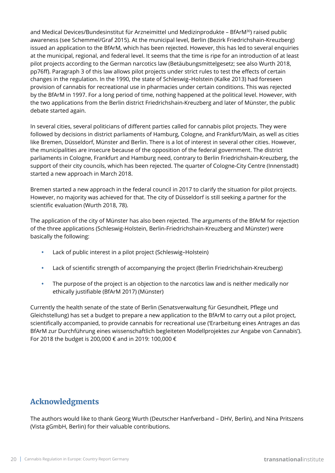and Medical Devices/Bundesinstitut für Arzneimittel und Medizinprodukte – BfArM<sup>30</sup>) raised public awareness (see Schemmel/Graf 2015). At the municipal level, Berlin (Bezirk Friedrichshain-Kreuzberg) issued an application to the BfArM, which has been rejected. However, this has led to several enquiries at the municipal, regional, and federal level. It seems that the time is ripe for an introduction of at least pilot projects according to the German narcotics law (Betäubungsmittelgesetz; see also Wurth 2018, pp76ff). Paragraph 3 of this law allows pilot projects under strict rules to test the effects of certain changes in the regulation. In the 1990, the state of Schleswig–Holstein (Kalke 2013) had foreseen provision of cannabis for recreational use in pharmacies under certain conditions. This was rejected by the BfArM in 1997. For a long period of time, nothing happened at the political level. However, with the two applications from the Berlin district Friedrichshain-Kreuzberg and later of Münster, the public debate started again.

In several cities, several politicians of different parties called for cannabis pilot projects. They were followed by decisions in district parliaments of Hamburg, Cologne, and Frankfurt/Main, as well as cities like Bremen, Düsseldorf, Münster and Berlin. There is a lot of interest in several other cities. However, the municipalities are insecure because of the opposition of the federal government. The district parliaments in Cologne, Frankfurt and Hamburg need, contrary to Berlin Friedrichshain-Kreuzberg, the support of their city councils, which has been rejected. The quarter of Cologne-City Centre (Innenstadt) started a new approach in March 2018.

Bremen started a new approach in the federal council in 2017 to clarify the situation for pilot projects. However, no majority was achieved for that. The city of Düsseldorf is still seeking a partner for the scientific evaluation (Wurth 2018, 78).

The application of the city of Münster has also been rejected. The arguments of the BfArM for rejection of the three applications (Schleswig-Holstein, Berlin-Friedrichshain-Kreuzberg and Münster) were basically the following:

- **•** Lack of public interest in a pilot project (Schleswig–Holstein)
- **•** Lack of scientific strength of accompanying the project (Berlin Friedrichshain-Kreuzberg)
- **•** The purpose of the project is an objection to the narcotics law and is neither medically nor ethically justifiable (BfArM 2017) (Münster)

Currently the health senate of the state of Berlin (Senatsverwaltung für Gesundheit, Pflege und Gleichstellung) has set a budget to prepare a new application to the BfArM to carry out a pilot project, scientifically accompanied, to provide cannabis for recreational use ('Erarbeitung eines Antrages an das BfArM zur Durchführung eines wissenschaftlich begleiteten Modellprojektes zur Angabe von Cannabis'). For 2018 the budget is 200,000 € and in 2019: 100,000 €

### **Acknowledgments**

The authors would like to thank Georg Wurth (Deutscher Hanfverband – DHV, Berlin), and Nina Pritszens (Vista gGmbH, Berlin) for their valuable contributions.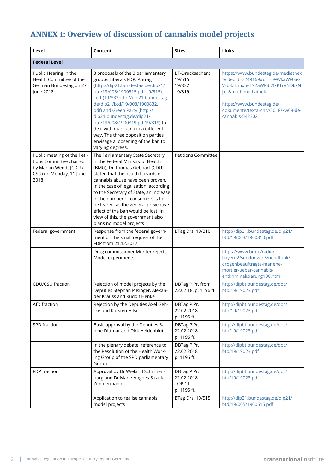# **ANNEX 1: Overview of discussion of cannabis model projects**

| Level                                                                                                               | Content                                                                                                                                                                                                                                                                                                                                                                                                                                                   | <b>Sites</b>                                              | Links                                                                                                                                                                                                               |
|---------------------------------------------------------------------------------------------------------------------|-----------------------------------------------------------------------------------------------------------------------------------------------------------------------------------------------------------------------------------------------------------------------------------------------------------------------------------------------------------------------------------------------------------------------------------------------------------|-----------------------------------------------------------|---------------------------------------------------------------------------------------------------------------------------------------------------------------------------------------------------------------------|
| <b>Federal Level</b>                                                                                                |                                                                                                                                                                                                                                                                                                                                                                                                                                                           |                                                           |                                                                                                                                                                                                                     |
| Public Hearing in the<br>Health Committee of the<br>German Bundestag on 27<br>June 2018                             | 3 proposals of the 3 parliamentary<br>groups Liberals FDP: Antrag<br>(http://dip21.bundestag.de/dip21/<br>btd/19/005/1900515.pdf 19/515),<br>Left (19/832http://dip21.bundestag.<br>de/dip21/btd/19/008/1900832.<br>pdf) and Green Party (http://<br>dip21.bundestag.de/dip21/<br>btd/19/008/1900819.pdf19/819) to<br>deal with marijuana in a different<br>way. The three opposition parties<br>envisage a loosening of the ban to<br>varying degrees.   | BT-Drucksachen:<br>19/515<br>19/832<br>19/819             | https://www.bundestag.de/mediathek<br>?videoid=7249169#url=bWVkaWF0aG<br>Vrb3ZlcmxheT92aWRlb2lkPTcyNDkxN<br>jk=&mod=mediathek<br>https://www.bundestag.de/<br>dokumente/textarchiv/2018/kw08-de-<br>cannabis-542302 |
| Public meeting of the Peti-<br>tions Committee chaired<br>by Marian Wendt (CDU /<br>CSU) on Monday, 11 June<br>2018 | The Parliamentary State Secretary<br>in the Federal Ministry of Health<br>(BMG), Dr Thomas Gebhart (CDU),<br>stated that the health hazards of<br>cannabis abuse have been proven.<br>In the case of legalization, according<br>to the Secretary of State, an increase<br>in the number of consumers is to<br>be feared, as the general preventive<br>effect of the ban would be lost. In<br>view of this, the government also<br>plans no model projects | <b>Petitions Committee</b>                                |                                                                                                                                                                                                                     |
| Federal government                                                                                                  | Response from the federal govern-<br>ment on the small request of the<br>FDP from 21.12.2017                                                                                                                                                                                                                                                                                                                                                              | BTag Drs. 19/310                                          | http://dip21.bundestag.de/dip21/<br>btd/19/003/1900310.pdf                                                                                                                                                          |
|                                                                                                                     | Drug commissioner Mortler rejects<br>Model experiments                                                                                                                                                                                                                                                                                                                                                                                                    |                                                           | https://www.br.de/radio/<br>bayern2/sendungen/zuendfunk/<br>drogenbeauftragte-marlene-<br>mortler-ueber-cannabis-<br>entkriminalisierung100.html                                                                    |
| CDU/CSU fraction                                                                                                    | Rejection of model projects by the<br>Deputies Stephan Pilsinger, Alexan-<br>der Krauss and Rudolf Henke                                                                                                                                                                                                                                                                                                                                                  | DBTag PlPr. from<br>22.02.18, p. 1196 ff.                 | http://dipbt.bundestag.de/doc/<br>btp/19/19023.pdf                                                                                                                                                                  |
| AfD fraction                                                                                                        | Rejection by the Deputies Axel Geh-<br>rke und Karsten Hilse                                                                                                                                                                                                                                                                                                                                                                                              | DBTag PIPr.<br>22.02.2018<br>p. 1196 ff.                  | http://dipbt.bundestag.de/doc/<br>btp/19/19023.pdf                                                                                                                                                                  |
| SPD fraction                                                                                                        | Basic approval by the Deputies Sa-<br>bine Dittmar and Dirk Heidenblut                                                                                                                                                                                                                                                                                                                                                                                    | DBTag PIPr.<br>22.02.2018<br>p. 1196 ff.                  | http://dipbt.bundestag.de/doc/<br>btp/19/19023.pdf                                                                                                                                                                  |
|                                                                                                                     | In the plenary debate: reference to<br>the Resolution of the Health Work-<br>ing Group of the SPD parliamentary<br>Group                                                                                                                                                                                                                                                                                                                                  | DBTag PIPr.<br>22.02.2018<br>p. 1196 ff.                  | http://dipbt.bundestag.de/doc/<br>btp/19/19023.pdf                                                                                                                                                                  |
| FDP fraction                                                                                                        | Approval by Dr Wieland Schinnen-<br>burg and Dr Marie-Angnes Strack-<br>Zimmermann                                                                                                                                                                                                                                                                                                                                                                        | DBTag PIPr.<br>22.02.2018<br><b>TOP 11</b><br>p. 1196 ff. | http://dipbt.bundestag.de/doc/<br>btp/19/19023.pdf                                                                                                                                                                  |
|                                                                                                                     | Application to realise cannabis<br>model projects                                                                                                                                                                                                                                                                                                                                                                                                         | BTag Drs. 19/515                                          | http://dip21.bundestag.de/dip21/<br>btd/19/005/1900515.pdf                                                                                                                                                          |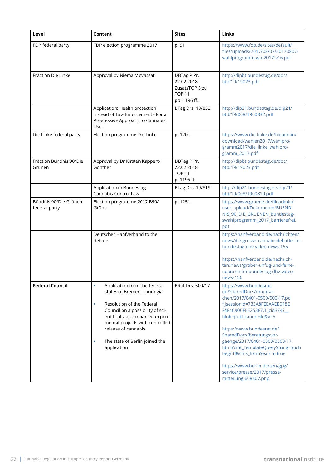| Level                                  | Content                                                                                                                                                                                                                                                                                      | <b>Sites</b>                                                                 | Links                                                                                                                                                                                                                                                                                                                                                                                                                                   |
|----------------------------------------|----------------------------------------------------------------------------------------------------------------------------------------------------------------------------------------------------------------------------------------------------------------------------------------------|------------------------------------------------------------------------------|-----------------------------------------------------------------------------------------------------------------------------------------------------------------------------------------------------------------------------------------------------------------------------------------------------------------------------------------------------------------------------------------------------------------------------------------|
| FDP federal party                      | FDP election programme 2017                                                                                                                                                                                                                                                                  | p. 91                                                                        | https://www.fdp.de/sites/default/<br>files/uploads/2017/08/07/20170807-<br>wahlprogramm-wp-2017-v16.pdf                                                                                                                                                                                                                                                                                                                                 |
| Fraction Die Linke                     | Approval by Niema Movassat                                                                                                                                                                                                                                                                   | DBTag PIPr.<br>22.02.2018<br>ZusatzTOP 5 zu<br><b>TOP 11</b><br>pp. 1196 ff. | http://dipbt.bundestag.de/doc/<br>btp/19/19023.pdf                                                                                                                                                                                                                                                                                                                                                                                      |
|                                        | Application: Health protection<br>instead of Law Enforcement - For a<br>Progressive Approach to Cannabis<br>Use                                                                                                                                                                              | BTag Drs. 19/832                                                             | http://dip21.bundestag.de/dip21/<br>btd/19/008/1900832.pdf                                                                                                                                                                                                                                                                                                                                                                              |
| Die Linke federal party                | Election programme Die Linke                                                                                                                                                                                                                                                                 | p. 120f.                                                                     | https://www.die-linke.de/fileadmin/<br>download/wahlen2017/wahlpro-<br>gramm2017/die_linke_wahlpro-<br>gramm_2017.pdf                                                                                                                                                                                                                                                                                                                   |
| Fraction Bündnis 90/Die<br>Grünen      | Approval by Dr Kirsten Kappert-<br>Gonther                                                                                                                                                                                                                                                   | DBTag PIPr.<br>22.02.2018<br><b>TOP 11</b><br>p. 1196 ff.                    | http://dipbt.bundestag.de/doc/<br>btp/19/19023.pdf                                                                                                                                                                                                                                                                                                                                                                                      |
|                                        | Application in Bundestag<br>Cannabis Control Law                                                                                                                                                                                                                                             | BTag Drs. 19/819                                                             | http://dip21.bundestag.de/dip21/<br>btd/19/008/1900819.pdf                                                                                                                                                                                                                                                                                                                                                                              |
| Bündnis 90/Die Grünen<br>federal party | Election programme 2017 B90/<br>Grüne                                                                                                                                                                                                                                                        | p. 125f.                                                                     | https://www.gruene.de/fileadmin/<br>user_upload/Dokumente/BUEND-<br>NIS_90_DIE_GRUENEN_Bundestag-<br>swahlprogramm_2017_barrierefrei.<br>pdf                                                                                                                                                                                                                                                                                            |
|                                        | Deutscher Hanfverband to the<br>debate                                                                                                                                                                                                                                                       |                                                                              | https://hanfverband.de/nachrichten/<br>news/die-grosse-cannabisdebatte-im-<br>bundestag-dhv-video-news-155<br>https://hanfverband.de/nachrich-<br>ten/news/grober-unfug-und-feine-<br>nuancen-im-bundestag-dhv-video-<br>news-156                                                                                                                                                                                                       |
| <b>Federal Council</b>                 | Application from the federal<br>$\bullet$<br>states of Bremen, Thuringia<br>Resolution of the Federal<br>٠<br>Council on a possibility of sci-<br>entifically accompanied experi-<br>mental projects with controlled<br>release of cannabis<br>The state of Berlin joined the<br>application | BRat Drs. 500/17                                                             | https://www.bundesrat.<br>de/SharedDocs/drucksa-<br>chen/2017/0401-0500/500-17.pd<br>f;jsessionid=735A8FE0AAEB018E<br>F4F4C90CFEE25387.1_cid374?__<br>blob=publicationFile&v=5<br>https://www.bundesrat.de/<br>SharedDocs/beratungsvor-<br>gaenge/2017/0401-0500/0500-17.<br>html?cms_templateQueryString=Such<br>begriff&cms_fromSearch=true<br>https://www.berlin.de/sen/gpg/<br>service/presse/2017/presse-<br>mitteilung.608807.php |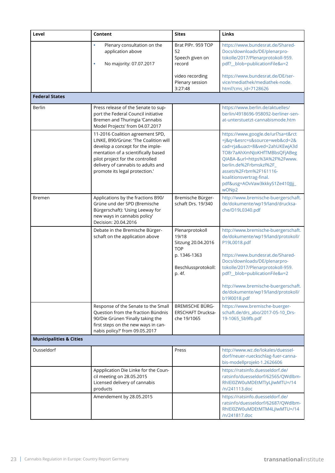| Level                              | Content                                                                                                                                                                                                                                                          | <b>Sites</b>                                                                                                  | Links                                                                                                                                                                                                                                                                                                          |
|------------------------------------|------------------------------------------------------------------------------------------------------------------------------------------------------------------------------------------------------------------------------------------------------------------|---------------------------------------------------------------------------------------------------------------|----------------------------------------------------------------------------------------------------------------------------------------------------------------------------------------------------------------------------------------------------------------------------------------------------------------|
|                                    | $\bullet$<br>Plenary consultation on the<br>application above<br>No majority: 07.07.2017<br>٠                                                                                                                                                                    | Brat PlPr. 959 TOP<br>52<br>Speech given on<br>record                                                         | https://www.bundesrat.de/Shared-<br>Docs/downloads/DE/plenarpro-<br>tokolle/2017/Plenarprotokoll-959.<br>pdf?_blob=publicationFile&v=2                                                                                                                                                                         |
|                                    |                                                                                                                                                                                                                                                                  | video recording<br>Plenary session<br>3:27:48                                                                 | https://www.bundesrat.de/DE/ser-<br>vice/mediathek/mediathek-node.<br>html?cms_id=7128626                                                                                                                                                                                                                      |
| <b>Federal States</b>              |                                                                                                                                                                                                                                                                  |                                                                                                               |                                                                                                                                                                                                                                                                                                                |
| Berlin                             | Press release of the Senate to sup-<br>port the Federal Council initiative<br>Bremen and Thuringia 'Cannabis<br>Model Projects' from 04.07.2017                                                                                                                  |                                                                                                               | https://www.berlin.de/aktuelles/<br>berlin/4918696-958092-berliner-sen-<br>at-unterstuetzt-cannabismode.htm                                                                                                                                                                                                    |
|                                    | 11-2016 Coalition agreement SPD,<br>LINKE, B90/Grüne: 'The Coalition will<br>develop a concept for the imple-<br>mentation of a scientifically based<br>pilot project for the controlled<br>delivery of cannabis to adults and<br>promote its legal protection.' |                                                                                                               | https://www.google.de/url?sa=t&rct<br>=j&q=&esrc=s&source=web&cd=2&<br>cad=rja&uact=8&ved=2ahUKEwjA3d<br>TO8r7aAhXmNJoKHfTMBbsQFjABeg<br>QIABA-&url=https%3A%2F%2Fwww.<br>berlin.de%2Frbmskzl%2F_<br>assets%2Frbm%2F161116-<br>koalitionsvertrag-final.<br>pdf&usg=AOvVaw3kkkyS1Ze410JJjj_<br>wONp2            |
| <b>Bremen</b>                      | Applications by the fractions B90/<br>Grüne und der SPD (Bremische<br>Bürgerschaft): 'Using Leeway for<br>new ways in cannabis policy'<br>Decision: 20.04.2016                                                                                                   | Bremische Bürger-<br>schaft Drs. 19/340                                                                       | http://www.bremische-buergerschaft.<br>de/dokumente/wp19/land/drucksa-<br>che/D19L0340.pdf                                                                                                                                                                                                                     |
|                                    | Debate in the Bremische Bürger-<br>schaft on the application above                                                                                                                                                                                               | Plenarprotokoll<br>19/18<br>Sitzung 20.04.2016<br><b>TOP</b><br>p. 1346-1363<br>Beschlussprotokoll:<br>p. 4f. | http://www.bremische-buergerschaft.<br>de/dokumente/wp19/land/protokoll/<br>P19L0018.pdf<br>https://www.bundesrat.de/Shared-<br>Docs/downloads/DE/plenarpro-<br>tokolle/2017/Plenarprotokoll-959.<br>pdf?_blob=publicationFile&v=2<br>http://www.bremische-buergerschaft.<br>de/dokumente/wp19/land/protokoll/ |
|                                    | Response of the Senate to the Small<br>Question from the fraction Bündnis<br>90/Die Grünen 'Finally taking the<br>first steps on the new ways in can-<br>nabis policy?' from 09.05.2017                                                                          | <b>BREMISCHE BÜRG-</b><br><b>ERSCHAFT Drucksa-</b><br>che 19/1065                                             | b19l0018.pdf<br>https://www.bremische-buerger-<br>schaft.de/drs_abo/2017-05-10_Drs-<br>19-1065_5b9fb.pdf                                                                                                                                                                                                       |
| <b>Municipalities &amp; Cities</b> |                                                                                                                                                                                                                                                                  |                                                                                                               |                                                                                                                                                                                                                                                                                                                |
| <b>Dusseldorf</b>                  |                                                                                                                                                                                                                                                                  | Press                                                                                                         | http://www.wz.de/lokales/duessel-<br>dorf/neuer-rueckschlag-fuer-canna-<br>bis-modellprojekt-1.2626606                                                                                                                                                                                                         |
|                                    | Appplication Die Linke for the Coun-<br>cil meeting on 28.05.2015<br>Licensed delivery of cannabis<br>products                                                                                                                                                   |                                                                                                               | https://ratsinfo.duesseldorf.de/<br>ratsinfo/duesseldorf/62565/QWdlbm-<br>RhIEI0ZW0uMDEtMTlyLjIwMTU=/14<br>/n/241113.doc                                                                                                                                                                                       |
|                                    | Amendement by 28.05.2015                                                                                                                                                                                                                                         |                                                                                                               | https://ratsinfo.duesseldorf.de/<br>ratsinfo/duesseldorf/62687/QWdlbm-<br>RhIEI0ZW0uMDEtMTM4LjIwMTU=/14<br>/n/241817.doc                                                                                                                                                                                       |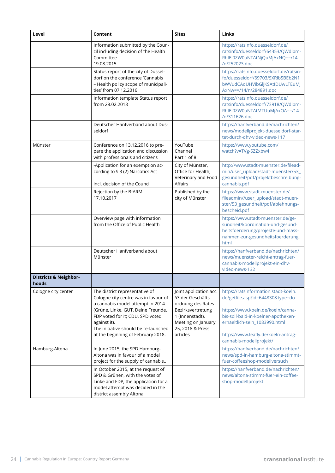| Level                                     | Content                                                                                                                                                                                                                                                                            | <b>Sites</b>                                                                                                                                                   | Links                                                                                                                                                                                                                                                   |
|-------------------------------------------|------------------------------------------------------------------------------------------------------------------------------------------------------------------------------------------------------------------------------------------------------------------------------------|----------------------------------------------------------------------------------------------------------------------------------------------------------------|---------------------------------------------------------------------------------------------------------------------------------------------------------------------------------------------------------------------------------------------------------|
|                                           | Information submitted by the Coun-<br>cil including decision of the Health<br>Committee<br>19.08.2015                                                                                                                                                                              |                                                                                                                                                                | https://ratsinfo.duesseldorf.de/<br>ratsinfo/duesseldorf/64353/QWdlbm-<br>RhIEI0ZW0uNTAtNjQuMjAxNQ==/14<br>/n/252023.doc                                                                                                                                |
|                                           | Status report of the city of Dussel-<br>dorf on the conference 'Cannabis<br>- Health policy scope of municipali-<br>ties' from 07.12.2016                                                                                                                                          |                                                                                                                                                                | https://ratsinfo.duesseldorf.de/ratsin-<br>fo/duesseldorf/69703/SXRlbSBEb2N1<br>bWVudCAoUHVibGljKSAtIDUwLTEuMj<br>AxNw==/14/n/284891.doc                                                                                                                |
|                                           | Information template Status report<br>from 28.02.2018                                                                                                                                                                                                                              |                                                                                                                                                                | https://ratsinfo.duesseldorf.de/<br>ratsinfo/duesseldorf/73918/QWdlbm-<br>RhIEI0ZW0uNTAtMTUuMjAxOA==/14<br>/n/311626.doc                                                                                                                                |
|                                           | Deutscher Hanfverband about Dus-<br>seldorf                                                                                                                                                                                                                                        |                                                                                                                                                                | https://hanfverband.de/nachrichten/<br>news/modellprojekt-duesseldorf-star-<br>tet-durch-dhv-video-news-117                                                                                                                                             |
| Münster                                   | Conference on 13.12.2016 to pre-<br>pare the application and discussion<br>with professionals and citizens                                                                                                                                                                         | YouTube<br>Channel<br>Part 1 of 8                                                                                                                              | https://www.youtube.com/<br>watch?v=TVg-5ZZxbw4                                                                                                                                                                                                         |
|                                           | -Application for an exemption ac-<br>cording to § 3 (2) Narcotics Act<br>incl. decision of the Council                                                                                                                                                                             | City of Münster,<br>Office for Health,<br>Veterinary and Food<br><b>Affairs</b>                                                                                | http://www.stadt-muenster.de/filead-<br>min/user_upload/stadt-muenster/53_<br>gesundheit/pdf/projektbeschreibung-<br>cannabis.pdf                                                                                                                       |
|                                           | Rejection by the BfARM<br>17.10.2017                                                                                                                                                                                                                                               | Published by the<br>city of Münster                                                                                                                            | https://www.stadt-muenster.de/<br>fileadmin//user_upload/stadt-muen-<br>ster/53_gesundheit/pdf/ablehnungs-<br>bescheid.pdf                                                                                                                              |
|                                           | Overview page with information<br>from the Office of Public Health                                                                                                                                                                                                                 |                                                                                                                                                                | https://www.stadt-muenster.de/ge-<br>sundheit/koordination-und-gesund-<br>heitsfoerderung/projekte-und-mass-<br>nahmen-zur-gesundheitsfoerderung.<br>html                                                                                               |
|                                           | Deutscher Hanfverband about<br>Münster                                                                                                                                                                                                                                             |                                                                                                                                                                | https://hanfverband.de/nachrichten/<br>news/muenster-reicht-antrag-fuer-<br>cannabis-modellprojekt-ein-dhv-<br>video-news-132                                                                                                                           |
| <b>Districts &amp; Neighbor-</b><br>hoods |                                                                                                                                                                                                                                                                                    |                                                                                                                                                                |                                                                                                                                                                                                                                                         |
| Cologne city center                       | The district representative of<br>Cologne city centre was in favour of<br>a cannabis model attempt in 2014<br>(Grüne, Linke, GUT, Deine Freunde,<br>FDP voted for it; CDU, SPD voted<br>against it).<br>The initiative should be re-launched<br>at the beginning of February 2018. | Joint application acc.<br>§3 der Geschäfts-<br>ordnung des Rates<br>Bezirksvertretung<br>1 (Innenstadt),<br>Meeting on January<br>25, 2018 & Press<br>articles | https://ratsinformation.stadt-koeln.<br>de/getfile.asp?id=644830&type=do<br>https://www.koeln.de/koeln/canna-<br>bis-soll-bald-in-koelner-apotheken-<br>erhaeltlich-sein 1083990.html<br>https://www.leafly.de/koeln-antrag-<br>cannabis-modellprojekt/ |
| Hamburg-Altona                            | In June 2015, the SPD Hamburg-<br>Altona was in favour of a model<br>project for the supply of cannabis                                                                                                                                                                            |                                                                                                                                                                | https://hanfverband.de/nachrichten/<br>news/spd-in-hamburg-altona-stimmt-<br>fuer-coffeeshop-modellversuch                                                                                                                                              |
|                                           | In October 2015, at the request of<br>SPD & Grünen, with the votes of<br>Linke and FDP, the application for a<br>model attempt was decided in the<br>district assembly Altona.                                                                                                     |                                                                                                                                                                | https://hanfverband.de/nachrichten/<br>news/altona-stimmt-fuer-ein-coffee-<br>shop-modellprojekt                                                                                                                                                        |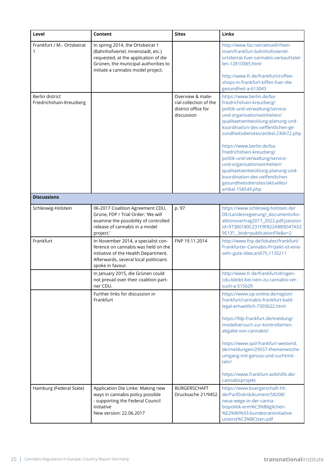| Level                                       | Content                                                                                                                                                                                      | <b>Sites</b>                                                                    | Links                                                                                                                                                                                                                                                                                                                                                                                                                                                                               |
|---------------------------------------------|----------------------------------------------------------------------------------------------------------------------------------------------------------------------------------------------|---------------------------------------------------------------------------------|-------------------------------------------------------------------------------------------------------------------------------------------------------------------------------------------------------------------------------------------------------------------------------------------------------------------------------------------------------------------------------------------------------------------------------------------------------------------------------------|
| Frankfurt / M.- Ortsbeirat                  | In spring 2014, the Ortsbeirat 1<br>(Bahnhofviertel, Innenstadt, etc.)<br>requested, at the application of die<br>Grünen, the municipal authorities to<br>initiate a cannabis model project. |                                                                                 | http://www.faz.net/aktuell/rhein-<br>main/frankfurt-bahnhofsviertel-<br>ortsbeirat-fuer-cannabis-verkaufsstel-<br>len-12810385.html                                                                                                                                                                                                                                                                                                                                                 |
|                                             |                                                                                                                                                                                              |                                                                                 | http://www.fr.de/frankfurt/coffee-<br>shops-in-frankfurt-kiffen-fuer-die-<br>gesundheit-a-613043                                                                                                                                                                                                                                                                                                                                                                                    |
| Berlin district<br>Friedrichshain-Kreuzberg |                                                                                                                                                                                              | Overview & mate-<br>rial collection of the<br>district office for<br>discussion | https://www.berlin.de/ba-<br>friedrichshain-kreuzberg/<br>politik-und-verwaltung/service-<br>und-organisationseinheiten/<br>qualitaetsentwicklung-planung-und-<br>koordination-des-oeffentlichen-ge-<br>sundheitsdienstes/artikel.230672.php<br>https://www.berlin.de/ba-<br>friedrichshain-kreuzberg/<br>politik-und-verwaltung/service-<br>und-organisationseinheiten/<br>qualitaetsentwicklung-planung-und-<br>koordination-des-oeffentlichen-<br>gesundheitsdienstes/aktuelles/ |
| <b>Discussions</b>                          |                                                                                                                                                                                              |                                                                                 | artikel.158549.php                                                                                                                                                                                                                                                                                                                                                                                                                                                                  |
| Schleswig-Holstein                          | 06-2017 Coalition Agreement CDU,<br>Grüne, FDP / Trial Order: 'We will<br>examine the possibility of controlled<br>release of cannabis in a model<br>project.'                               | p. 97                                                                           | https://www.schleswig-holstein.de/<br>DE/Landesregierung/_documents/ko-<br>alitionsvertrag2017_2022.pdf;jsession<br>id=97380180C231F9F822A889D47A52<br>9E13?_blob=publicationFile&v=2                                                                                                                                                                                                                                                                                               |
| Frankfurt                                   | In November 2014, a specialist con-<br>ference on cannabis was held on the<br>initiative of the Health Department.<br>Afterwards, several local politicians<br>spoke in favour.              | FNP 19.11.2014                                                                  | http://www.fnp.de/lokales/frankfurt/<br>Frankfurter-Cannabis-Projekt-ist-eine-<br>sehr-gute-Idee;art675,1135211                                                                                                                                                                                                                                                                                                                                                                     |
|                                             | In January 2015, die Grünen could<br>not prevail over their coalition part-<br>ner CDU.                                                                                                      |                                                                                 | http://www.fr.de/frankfurt/drogen-<br>cdu-bleibt-bei-nein-zu-cannabis-ver-<br>such-a-515629                                                                                                                                                                                                                                                                                                                                                                                         |
|                                             | Further links for discussion in<br>Frankfurt                                                                                                                                                 |                                                                                 | https://www.op-online.de/region/<br>frankfurt/cannabis-frankfurt-bald-<br>legal-erhaeltlich-7303622.html                                                                                                                                                                                                                                                                                                                                                                            |
|                                             |                                                                                                                                                                                              |                                                                                 | https://fdp-frankfurt.de/meldung/<br>modellversuch-zur-kontrollierten-<br>abgabe-von-cannabis/                                                                                                                                                                                                                                                                                                                                                                                      |
|                                             |                                                                                                                                                                                              |                                                                                 | https://www.spd-frankfurt-westend.<br>de/meldungen/29557-themenwoche-<br>umgang-mit-genuss-und-suchtmit-<br>teln/                                                                                                                                                                                                                                                                                                                                                                   |
|                                             |                                                                                                                                                                                              |                                                                                 | https://www.frankfurt-aidshilfe.de/<br>cannabisprojekt                                                                                                                                                                                                                                                                                                                                                                                                                              |
| Hamburg (Federal State)                     | Application Die Linke: Making new<br>ways in cannabis policy possible<br>- supporting the Federal Council<br>initiative<br>New version: 22.06.2017                                           | BÜRGERSCHAFT<br>Drucksache 21/9452                                              | https://www.buergerschaft-hh.<br>de/ParlDok/dokument/58208/<br>neue-wege-in-der-canna-<br>bispolitik-erm%C3%B6glichen-<br>%E2%80%93-bundesratsinitiative-<br>unterst%C3%BCtzen.pdf                                                                                                                                                                                                                                                                                                  |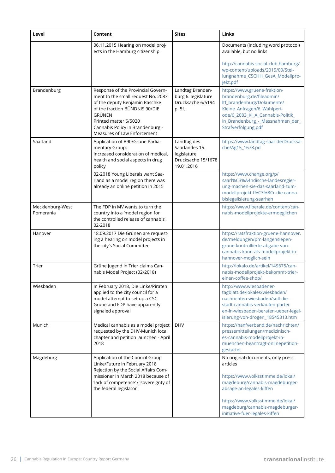| Level                         | Content                                                                                                                                                                                                                                            | <b>Sites</b>                                                                     | Links                                                                                                                                                                                                                                                       |
|-------------------------------|----------------------------------------------------------------------------------------------------------------------------------------------------------------------------------------------------------------------------------------------------|----------------------------------------------------------------------------------|-------------------------------------------------------------------------------------------------------------------------------------------------------------------------------------------------------------------------------------------------------------|
|                               | 06.11.2015 Hearing on model proj-<br>ects in the Hamburg citizenship                                                                                                                                                                               |                                                                                  | Documents (including word protocol)<br>available, but no links<br>http://cannabis-social-club.hamburg/<br>wp-content/uploads/2015/09/Stel-                                                                                                                  |
|                               |                                                                                                                                                                                                                                                    |                                                                                  | lungnahme_CSCHH_GesA_Modellpro-<br>jekt.pdf                                                                                                                                                                                                                 |
| Brandenburg                   | Response of the Provincial Govern-<br>ment to the small request No. 2083<br>of the deputy Benjamin Raschke<br>of the fraction BÜNDNIS 90/DIE<br>GRÜNEN<br>Printed matter 6/5020<br>Cannabis Policy in Brandenburg -<br>Measures of Law Enforcement | Landtag Branden-<br>burg 6. legislature<br>Drucksache 6/5194<br>p. 5f.           | https://www.gruene-fraktion-<br>brandenburg.de/fileadmin/<br>ltf_brandenburg/Dokumente/<br>Kleine_Anfragen/6_Wahlperi-<br>ode/6_2083_Kl_A_Cannabis-Politik_<br>in_Brandenburg_-_Massnahmen_der_<br>Strafverfolgung.pdf                                      |
| Saarland                      | Application of B90/Grüne Parlia-<br>mentary Group:<br>Increased consideration of medical,<br>health and social aspects in drug<br>policy                                                                                                           | Landtag des<br>Saarlandes 15.<br>legislature<br>Drucksache 15/1678<br>19.01.2016 | https://www.landtag-saar.de/Drucksa-<br>che/Ag15_1678.pd                                                                                                                                                                                                    |
|                               | 02-2018 Young Liberals want Saa-<br>rland as a model region there was<br>already an online petition in 2015                                                                                                                                        |                                                                                  | https://www.change.org/p/<br>saarl%C3%A4ndische-landesregier-<br>ung-machen-sie-das-saarland-zum-<br>modellprojekt-f%C3%BCr-die-canna-<br>bislegalisierung-saarhan                                                                                          |
| Mecklenburg-West<br>Pomerania | The FDP in MV wants to turn the<br>country into a 'model region for<br>the controlled release of cannabis'.<br>02-2018                                                                                                                             |                                                                                  | https://www.liberale.de/content/can-<br>nabis-modellprojekte-ermoeglichen                                                                                                                                                                                   |
| Hanover                       | 18.09.2017 Die Grünen are request-<br>ing a hearing on model projects in<br>the city's Social Committee                                                                                                                                            |                                                                                  | https://ratsfraktion-gruene-hannover.<br>de/meldungen/pm-langensiepen-<br>grune-kontrollierte-abgabe-von-<br>cannabis-kann-als-modellprojekt-in-<br>hannover-moglich-sein                                                                                   |
| Trier                         | Grüne Jugend in Trier claims Can-<br>nabis Model Project (02/2018)                                                                                                                                                                                 |                                                                                  | http://lokalo.de/artikel/149675/can-<br>nabis-modellprojekt-bekommt-trier-<br>einen-coffee-shop/                                                                                                                                                            |
| Wiesbaden                     | In February 2018, Die Linke/Piraten<br>applied to the city council for a<br>model attempt to set up a CSC.<br>Grüne and FDP have apparently<br>signaled approval                                                                                   |                                                                                  | http://www.wiesbadener-<br>tagblatt.de/lokales/wiesbaden/<br>nachrichten-wiesbaden/soll-die-<br>stadt-cannabis-verkaufen-partei-<br>en-in-wiesbaden-beraten-ueber-legal-<br>isierung-von-drogen_18545313.htm                                                |
| Munich                        | Medical cannabis as a model project<br>requested by the DHV-Munich local<br>chapter and petition launched - April<br>2018                                                                                                                          | <b>DHV</b>                                                                       | https://hanfverband.de/nachrichten/<br>pressemitteilungen/medizinisch-<br>es-cannabis-modellprojekt-in-<br>muenchen-beantragt-onlinepetition-<br>gestartet                                                                                                  |
| Magdeburg                     | Application of the Council Group<br>Linke/Future in February 2018<br>Rejection by the Social Affairs Com-<br>missioner in March 2018 because of<br>'lack of competence' / 'sovereignty of<br>the federal legislator'.                              |                                                                                  | No original documents, only press<br>articles<br>https://www.volksstimme.de/lokal/<br>magdeburg/cannabis-magdeburger-<br>absage-an-legales-kiffen<br>https://www.volksstimme.de/lokal/<br>magdeburg/cannabis-magdeburger-<br>initiative-fuer-legales-kiffen |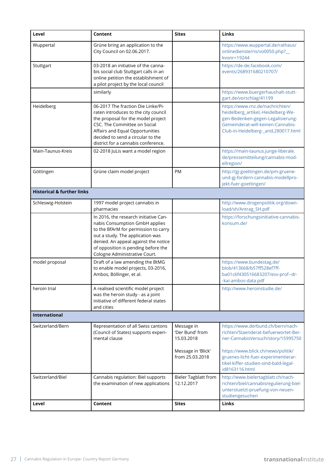| Level                                 | Content                                                                                                                                                                                                                                                             | <b>Sites</b>                                | Links                                                                                                                                                                                   |
|---------------------------------------|---------------------------------------------------------------------------------------------------------------------------------------------------------------------------------------------------------------------------------------------------------------------|---------------------------------------------|-----------------------------------------------------------------------------------------------------------------------------------------------------------------------------------------|
| Wuppertal                             | Grüne bring an application to the<br>City Council on 02.06.2017.                                                                                                                                                                                                    |                                             | https://www.wuppertal.de/rathaus/<br>onlinedienste/ris/vo0050.php?_<br>kvonr=19244                                                                                                      |
| Stuttgart                             | 03-2018 an initiative of the canna-<br>bis social club Stuttgart calls in an<br>online petition the establishment of<br>a pilot project by the local council                                                                                                        |                                             | https://de-de.facebook.com/<br>events/268931680210707/                                                                                                                                  |
|                                       | similarly                                                                                                                                                                                                                                                           |                                             | https://www.buergerhaushalt-stutt-<br>gart.de/vorschlag/41199                                                                                                                           |
| Heidelberg                            | 06-2017 The fraction Die Linke/Pi-<br>raten introduces to the city council<br>the proposal for the model project<br>CSC. The Committee on Social<br>Affairs and Equal Opportunities<br>decided to send a circular to the<br>district for a cannabis conference.     |                                             | https://www.rnz.de/nachrichten/<br>heidelberg_artikel,-Heidelberg-We-<br>gen-Bedenken-gegen-Legalisierung-<br>Gemeinderat-will-keinen-Cannabis-<br>Club-in-Heidelberg-_arid,280017.html |
| Main-Taunus-Kreis                     | 02-2018 JuLis want a model region                                                                                                                                                                                                                                   |                                             | https://main-taunus.junge-liberale.<br>de/pressemitteilung/cannabis-mod-<br>ellregion/                                                                                                  |
| Göttingen                             | Grüne claim model project                                                                                                                                                                                                                                           | <b>PM</b>                                   | http://gj-goettingen.de/pm-gruene-<br>und-gj-fordern-cannabis-modellpro-<br>jekt-fuer-goettingen/                                                                                       |
| <b>Historical &amp; further links</b> |                                                                                                                                                                                                                                                                     |                                             |                                                                                                                                                                                         |
| Schleswig-Holstein                    | 1997 model project cannabis in<br>pharmacies                                                                                                                                                                                                                        |                                             | http://www.drogenpolitik.org/down-<br>load/sh/Antrag_SH.pdf                                                                                                                             |
|                                       | In 2016, the research initiative Can-<br>nabis Consumption GmbH applies<br>to the BfArM for permission to carry<br>out a study. The application was<br>denied. An appeal against the notice<br>of opposition is pending before the<br>Cologne Administrative Court. |                                             | https://forschungsinitiative-cannabis-<br>konsum.de/                                                                                                                                    |
| model proposal                        | Draft of a law amending the BtMG<br>to enable model projects, 03-2016,<br>Ambos, Böllinger, et al.                                                                                                                                                                  |                                             | https://www.bundestag.de/<br>blob/413668/b57ff528ef7ff-<br>ba01c6f430516683207/esv-prof--dr-<br>kai-ambos-data.pdf                                                                      |
| heroin trial                          | A realised scientific model project<br>was the heroin study - as a joint<br>initiative of different federal states<br>and cities                                                                                                                                    |                                             | http://www.heroinstudie.de/                                                                                                                                                             |
| International                         |                                                                                                                                                                                                                                                                     |                                             |                                                                                                                                                                                         |
| Switzerland/Bern                      | Representation of all Swiss cantons<br>(Council of States) supports experi-<br>mental clause                                                                                                                                                                        | Message in<br>'Der Bund' from<br>15.03.2018 | https://www.derbund.ch/bern/nach-<br>richten/Staenderat-befuerwortet-Ber-<br>ner-CannabisVersuch/story/15995750                                                                         |
|                                       |                                                                                                                                                                                                                                                                     | Message in 'Blick'<br>from 25.03.2018       | https://www.blick.ch/news/politik/<br>gruenes-licht-fuer-experimentierar-<br>tikel-kiffer-studien-sind-bald-legal-<br>id8163116.html                                                    |
| Switzerland/Biel                      | Cannabis regulation: Biel supports<br>the examination of new applications                                                                                                                                                                                           | <b>Bieler Tagblatt from</b><br>12.12.2017   | http://www.bielertagblatt.ch/nach-<br>richten/biel/cannabisregulierung-biel-<br>unterstuetzt-pruefung-von-neuen-<br>studiengesuchen                                                     |
| Level                                 | Content                                                                                                                                                                                                                                                             | <b>Sites</b>                                | Links                                                                                                                                                                                   |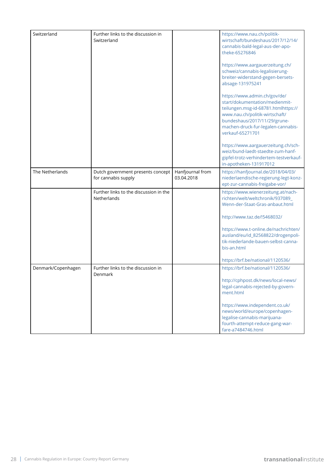| Switzerland        | Further links to the discussion in<br>Switzerland        |                                | https://www.nau.ch/politik-<br>wirtschaft/bundeshaus/2017/12/14/<br>cannabis-bald-legal-aus-der-apo-<br>theke-65276846<br>https://www.aargauerzeitung.ch/<br>schweiz/cannabis-legalisierung-<br>breiter-widerstand-gegen-bersets-<br>absage-131975241<br>https://www.admin.ch/gov/de/<br>start/dokumentation/medienmit-<br>teilungen.msg-id-68781.htmlhttps://<br>www.nau.ch/politik-wirtschaft/<br>bundeshaus/2017/11/29/grune-<br>machen-druck-fur-legalen-cannabis-<br>verkauf-65271701<br>https://www.aargauerzeitung.ch/sch- |
|--------------------|----------------------------------------------------------|--------------------------------|-----------------------------------------------------------------------------------------------------------------------------------------------------------------------------------------------------------------------------------------------------------------------------------------------------------------------------------------------------------------------------------------------------------------------------------------------------------------------------------------------------------------------------------|
|                    |                                                          |                                | weiz/bund-laedt-staedte-zum-hanf-<br>gipfel-trotz-verhindertem-testverkauf-<br>in-apotheken-131917012                                                                                                                                                                                                                                                                                                                                                                                                                             |
| The Netherlands    | Dutch government presents concept<br>for cannabis supply | Hanfjournal from<br>03.04.2018 | https://hanfjournal.de/2018/04/03/<br>niederlaendische-regierung-legt-konz-<br>ept-zur-cannabis-freigabe-vor/                                                                                                                                                                                                                                                                                                                                                                                                                     |
|                    | Further links to the discussion in the<br>Netherlands    |                                | https://www.wienerzeitung.at/nach-<br>richten/welt/weltchronik/937089_<br>Wenn-der-Staat-Gras-anbaut.html<br>http://www.taz.de/!5468032/<br>https://www.t-online.de/nachrichten/<br>ausland/eu/id_82568822/drogenpoli-                                                                                                                                                                                                                                                                                                            |
|                    |                                                          |                                | tik-niederlande-bauen-selbst-canna-<br>bis-an.html<br>https://brf.be/national/1120536/                                                                                                                                                                                                                                                                                                                                                                                                                                            |
| Denmark/Copenhagen | Further links to the discussion in<br>Denmark            |                                | https://brf.be/national/1120536/<br>http://cphpost.dk/news/local-news/<br>legal-cannabis-rejected-by-govern-<br>ment.html                                                                                                                                                                                                                                                                                                                                                                                                         |
|                    |                                                          |                                | https://www.independent.co.uk/<br>news/world/europe/copenhagen-<br>legalise-cannabis-marijuana-<br>fourth-attempt-reduce-gang-war-<br>fare-a7484746.html                                                                                                                                                                                                                                                                                                                                                                          |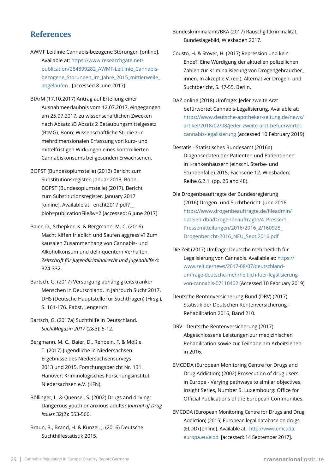### **References**

- AWMF Leitlinie Cannabis-bezogene Störungen [online]. Available at: [https://www.researchgate.net/](https://www.researchgate.net/publication/284899282_AWMF-Leitlinie_Cannabis-bezogene_Storungen_im_Jahre_2015_mittlerweile_abgelaufen) [publication/284899282\\_AWMF-Leitlinie\\_Cannabis](https://www.researchgate.net/publication/284899282_AWMF-Leitlinie_Cannabis-bezogene_Storungen_im_Jahre_2015_mittlerweile_abgelaufen)[bezogene\\_Storungen\\_im\\_Jahre\\_2015\\_mittlerweile\\_](https://www.researchgate.net/publication/284899282_AWMF-Leitlinie_Cannabis-bezogene_Storungen_im_Jahre_2015_mittlerweile_abgelaufen) [abgelaufen](https://www.researchgate.net/publication/284899282_AWMF-Leitlinie_Cannabis-bezogene_Storungen_im_Jahre_2015_mittlerweile_abgelaufen) . [accessed 8 June 2017]
- BfArM (17.10.2017) Antrag auf Erteilung einer Ausnahmeerlaubnis vom 12.07.2017, eingegangen am 25.07.2017, zu wissenschaftlichen Zwecken nach Absatz §3 Absatz 2 Betäubungsmittelgesetz (BtMG). Bonn: Wissenschaftliche Studie zur mehrdimensionalen Erfassung von kurz- und mittelfristigen Wirkungen eines kontrollierten Cannabiskonsums bei gesunden Erwachsenen.
- BOPST (Bundesopiumstelle) (2013) Bericht zum Substitutionsregister. Januar 2013, Bonn. BOPST (Bundesopiumstelle) (2017). Bericht zum Substitutionsregister. January 2017 [online]. Available at: ericht2017.pdf?\_\_ blob=publicationFile&v=2 [accessed: 6 June 2017]
- Baier, D., Schepker, K. & Bergmann, M. C. (2016) Macht Kiffen friedlich und Saufen aggressiv? Zum kausalen Zusammenhang von Cannabis- und Alkoholkonsum und delinquentem Verhalten. *Zeitschrift für Jugendkriminalrecht und Jugendhilfe* 4: 324-332.
- Bartsch, G. (2017) Versorgung abhängigkeitskranker Menschen in Deutschland. In Jahrbuch Sucht 2017. DHS (Deutsche Hauptstelle für Suchtfragen) (Hrsg.), S. 161-176. Pabst, Lengerich.
- Bartsch, G. (2017a) Suchthilfe in Deutschland. *SuchtMagazin 2017* (2&3): 5-12.
- Bergmann, M. C., Baier, D., Rehbein, F. & Mößle, T. (2017) Jugendliche in Niedersachsen. Ergebnisse des Niedersachsensurveys 2013 und 2015, Forschungsbericht Nr. 131. Hanover: Kriminologisches Forschungsinstitut Niedersachsen e.V. (KFN).
- Böllinger, L. & Quensel, S. (2002) Drugs and driving: Dangerous youth or anxious adults? *Journal of Drug Issues* 32(2): 553-566.
- Braun, B., Brand, H. & Künzel, J. (2016) Deutsche Suchthilfestatistik 2015.

Bundeskriminalamt/BKA (2017) Rauschgiftkriminalität, Bundeslagebild, Wiesbaden 2017.

- Cousto, H. & Stöver, H. (2017) Repression und kein Ende?! Eine Würdigung der aktuellen polizeilichen Zahlen zur Kriminalisierung von Drogengebraucher\_ innen. In akzept e.V. (ed.), Alternativer Drogen- und Suchtbericht, S. 47-55. Berlin.
- DAZ.online (2018) Umfrage: Jeder zweite Arzt befürwortet Cannabis-Legalisierung. Available at: https://www.deutsche-apotheker-zeitung.de/news/ artikel/2018/02/08/jeder-zweite-arzt-befuerwortetcannabis-legalisierung (accessed 10 February 2019)
- Destatis Statistisches Bundesamt (2016a) Diagnosedaten der Patienten und Patientinnen in Krankenhäusern (einschl. Sterbe- und Stundenfälle) 2015. Fachserie 12. Wiesbaden: Reihe 6.2.1, (pp. 25 and 48).
- Die Drogenbeauftragte der Bundesregierung (2016) Drogen- und Suchtbericht. June 2016. [https://www.drogenbeauftragte.de/fileadmin/](https://www.drogenbeauftragte.de/fileadmin/dateien-dba/Drogenbeauftragte/4_Presse/1_Pressemitteilungen/2016/2016_2/160928_Drogenbericht-2016_NEU_Sept.2016.pdf) [dateien-dba/Drogenbeauftragte/4\\_Presse/1\\_](https://www.drogenbeauftragte.de/fileadmin/dateien-dba/Drogenbeauftragte/4_Presse/1_Pressemitteilungen/2016/2016_2/160928_Drogenbericht-2016_NEU_Sept.2016.pdf) [Pressemitteilungen/2016/2016\\_2/160928\\_](https://www.drogenbeauftragte.de/fileadmin/dateien-dba/Drogenbeauftragte/4_Presse/1_Pressemitteilungen/2016/2016_2/160928_Drogenbericht-2016_NEU_Sept.2016.pdf) [Drogenbericht-2016\\_NEU\\_Sept.2016.pdf](https://www.drogenbeauftragte.de/fileadmin/dateien-dba/Drogenbeauftragte/4_Presse/1_Pressemitteilungen/2016/2016_2/160928_Drogenbericht-2016_NEU_Sept.2016.pdf)
- Die Zeit (2017) Umfrage: Deutsche mehrheitlich für Legalisierung von Cannabis. Available at: [https://](https://www.zeit.de/news/2017-08/07/deutschland-umfrage-deutsche-mehrheitlich-fuer-legalisierung-von-cannabis-07110402) [www.zeit.de/news/2017-08/07/deutschland](https://www.zeit.de/news/2017-08/07/deutschland-umfrage-deutsche-mehrheitlich-fuer-legalisierung-von-cannabis-07110402)[umfrage-deutsche-mehrheitlich-fuer-legalisierung](https://www.zeit.de/news/2017-08/07/deutschland-umfrage-deutsche-mehrheitlich-fuer-legalisierung-von-cannabis-07110402)[von-cannabis-07110402](https://www.zeit.de/news/2017-08/07/deutschland-umfrage-deutsche-mehrheitlich-fuer-legalisierung-von-cannabis-07110402) (Accessed 10 February 2019)
- Deutsche Rentenversicherung Bund (DRV) (2017) Statistik der Deutschen Rentenversicherung - Rehabilitation 2016, Band 210.
- DRV Deutsche Rentenversicherung (2017) Abgeschlossene Leistungen zur medizinischen Rehabilitation sowie zur Teilhabe am Arbeitsleben in 2016.
- EMCDDA (European Monitoring Centre for Drugs and Drug Addiction) (2002) Prosecution of drug users in Europe - Varying pathways to similar objectives, Insight Series, Number 5. Luxembourg: Office for Official Publications of the European Communities.
- EMCDDA (European Monitoring Centre for Drugs and Drug Addiction) (2015) European legal database on drugs (ELDD) [online]. Available at: [http://www.emcdda.](http://www.emcdda.europa.eu/eldd) [europa.eu/eldd](http://www.emcdda.europa.eu/eldd) [accessed: 14 September 2017].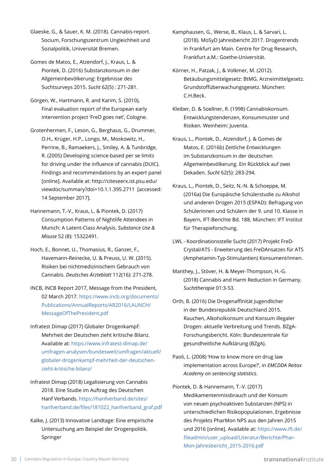Glaeske, G., & Sauer, K. M. (2018). Cannabis-report. Socium, Forschungszentrum Ungleichheit und Sozialpolitik, Universität Bremen.

Gomes de Matos, E., Atzendorf, J., Kraus, L. & Piontek, D. (2016) Substanzkonsum in der Allgemeinbevölkerung: Ergebnisse des Suchtsurveys 2015. *Sucht* 62(5) : 271-281.

Görgen, W., Hartmann, R. and Karim, S. (2010), Final evaluation report of the European early intervention project 'FreD goes net', Cologne.

Grotenhermen, F., Leson, G., Berghaus, G., Drummer, O.H., Krüger, H.P., Longo, M., Moskowitz, H., Perrine, B., Ramaekers, J., Smiley, A. & Tunbridge, R. (2005) Developing science-based per se limits for driving under the influence of cannabis (DUIC). Findings and recommendations by an expert panel [online]. Available at: http://citeseerx.ist.psu.edu/ viewdoc/summary?doi=10.1.1.395.2711 [accessed: 14 September 2017].

Hannemann, T.-V., Kraus, L. & Piontek, D. (2017) Consumption Patterns of Nightlife Attendees in Munich: A Latent-Class Analysis. *Substance Use & Misuse* 52 (8): 15322491.

Hoch, E., Bonnet, U., Thomasius, R., Ganzer, F., Havemann-Reinecke, U. & Preuss, U. W. (2015). Risiken bei nichtmedizinischem Gebrauch von Cannabis. *Deutsches Ärzteblatt* 112(16): 271-278.

INCB, INCB Report 2017, Message from the President, 02 March 2017. [https://www.incb.org/documents/](https://www.incb.org/documents/Publications/AnnualReports/AR2016/LAUNCH/MessageOfThePresident.pdf) [Publications/AnnualReports/AR2016/LAUNCH/](https://www.incb.org/documents/Publications/AnnualReports/AR2016/LAUNCH/MessageOfThePresident.pdf) [MessageOfThePresident.pdf](https://www.incb.org/documents/Publications/AnnualReports/AR2016/LAUNCH/MessageOfThePresident.pdf)

Infratest Dimap (2017) Globaler Drogenkampf: Mehrheit der Deutschen zieht kritische Bilanz. Available at: [https://www.infratest-dimap.de/](https://www.infratest-dimap.de/umfragen-analysen/bundesweit/umfragen/aktuell/globaler-drogenkampf-mehrheit-der-deutschen-zieht-kritische-bilanz/) [umfragen-analysen/bundesweit/umfragen/aktuell/](https://www.infratest-dimap.de/umfragen-analysen/bundesweit/umfragen/aktuell/globaler-drogenkampf-mehrheit-der-deutschen-zieht-kritische-bilanz/) [globaler-drogenkampf-mehrheit-der-deutschen](https://www.infratest-dimap.de/umfragen-analysen/bundesweit/umfragen/aktuell/globaler-drogenkampf-mehrheit-der-deutschen-zieht-kritische-bilanz/)[zieht-kritische-bilanz/](https://www.infratest-dimap.de/umfragen-analysen/bundesweit/umfragen/aktuell/globaler-drogenkampf-mehrheit-der-deutschen-zieht-kritische-bilanz/)

Infratest Dimap (2018) Legalisierung von Cannabis 2018. Eine Studie im Auftrag des Deutschen Hanf Verbands. [https://hanfverband.de/sites/](https://hanfverband.de/sites/hanfverband.de/files/181022_hanfverband_graf.pdf) [hanfverband.de/files/181022\\_hanfverband\\_graf.pdf](https://hanfverband.de/sites/hanfverband.de/files/181022_hanfverband_graf.pdf)

Kalke, J. (2013) Innovative Landtage: Eine empirische Untersuchung am Beispiel der Drogenpolitik. Springer

Kamphausen, G., Werse, B., Klaus, L. & Sarvari, L. (2018). MoSyD Jahresbericht 2017. Drogentrends in Frankfurt am Main. Centre for Drug Research, Frankfurt a.M.: Goethe-Universität.

Körner, H., Patzak, J., & Volkmer, M. (2012). Betäubungsmittelgesetz: BtMG. Arzneimittelgesetz. Grundstoffüberwachungsgesetz. München: C.H.Beck.

Kleiber, D. & Soellner, R. (1998) Cannabiskonsum. Entwicklungstendenzen, Konsummuster und Risiken. Weinheim: Juventa.

Kraus, L., Piontek, D., Atzendorf, J. & Gomes de Matos, E. (2016b) Zeitliche Entwicklungen im Substanzkonsum in der deutschen Allgemeinbevölkerung. Ein Rückblick auf zwei Dekaden. *Sucht* 62(5): 283-294.

Kraus, L., Piontek, D., Seitz, N.-N. & Schoeppe, M. (2016a) Die Europäische Schülerstudie zu Alkohol und anderen Drogen 2015 (ESPAD): Befragung von Schülerinnen und Schülern der 9. und 10. Klasse in Bayern, IFT-Berichte Bd. 188. München: IFT Institut für Therapieforschung.

LWL - Koordinationsstelle Sucht (2017) Projekt FreD-Crystal/ATS - Erweiterung des FreDAnsatzes für ATS (Amphetamin-Typ-Stimulantien) Konsument/innen.

Manthey, J., Stöver, H. & Meyer-Thompson, H.-G. (2018) Cannabis and Harm Reduction in Germany. *Suchttherapie* 01:3-53.

Orth, B. (2016) Die Drogenaffinität Jugendlicher in der Bundesrepublik Deutschland 2015. Rauchen, Alkoholkonsum und Konsum illegaler Drogen: aktuelle Verbreitung und Trends. BZgA-Forschungsbericht. Köln: Bundeszentrale für gesundheitliche Aufklärung (BZgA).

Paoli, L. (2008) 'How to know more on drug law implementation across Europe?', in *EMCDDA Reitox Academy on sentencing statistics*.

Piontek, D. & Hannemann, T.-V. (2017) Medikamentenmissbrauch und der Konsum von neuen psychoaktiven Substanzen (NPS) in unterschiedlichen Risikopopulationen. Ergebnisse des Projekts PharMon NPS aus den Jahren 2015 und 2016 [online]. Available at: https://www.ift.de/ fileadmin/user\_upload/Literatur/Berichte/Phar-Mon-Jahresbericht\_2015-2016.pdf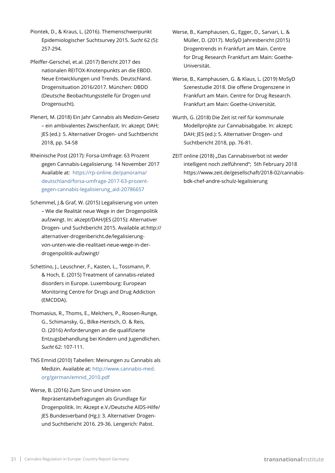- Piontek, D., & Kraus, L. (2016). Themenschwerpunkt Epidemiologischer Suchtsurvey 2015. *Sucht* 62 (5): 257-294.
- Pfeiffer-Gerschel, et.al. (2017) Bericht 2017 des nationalen REITOX-Knotenpunkts an die EBDD. Neue Entwicklungen und Trends. Deutschland. Drogensituation 2016/2017. München: DBDD (Deutsche Beobachtungsstelle für Drogen und Drogensucht).
- Plenert, M. (2018) Ein Jahr Cannabis als Medizin-Gesetz – ein ambivalentes Zwischenfazit. In: akzept; DAH; JES (ed.): 5. Alternativer Drogen- und Suchtbericht 2018, pp. 54-58
- Rheinische Post (2017): Forsa-Umfrage: 63 Prozent gegen Cannabis-Legalisierung. 14 November 2017 Available at: [https://rp-online.de/panorama/](https://rp-online.de/panorama/deutschland/forsa-umfrage-2017-63-prozent-gegen-cannabis-legalisierung_aid-20786657) [deutschland/forsa-umfrage-2017-63-prozent](https://rp-online.de/panorama/deutschland/forsa-umfrage-2017-63-prozent-gegen-cannabis-legalisierung_aid-20786657)[gegen-cannabis-legalisierung\\_aid-20786657](https://rp-online.de/panorama/deutschland/forsa-umfrage-2017-63-prozent-gegen-cannabis-legalisierung_aid-20786657)
- Schemmel, J.& Graf, W. (2015) Legalisierung von unten – Wie die Realität neue Wege in der Drogenpolitik aufzwingt. In: akzept/DAH/JES (2015): Alternativer Drogen- und Suchtbericht 2015. Available at:http:// alternativer-drogenbericht.de/legalisierungvon-unten-wie-die-realitaet-neue-wege-in-derdrogenpolitik-aufzwingt/
- Schettino, J., Leuschner, F., Kasten, L., Tossmann, P. & Hoch, E. (2015) Treatment of cannabis-related disorders in Europe. Luxembourg: European Monitoring Centre for Drugs and Drug Addiction (EMCDDA).
- Thomasius, R., Thoms, E., Melchers, P., Roosen-Runge, G., Schimansky, G., Bilke-Hentsch, O. & Reis, O. (2016) Anforderungen an die qualifizierte Entzugsbehandlung bei Kindern und Jugendlichen. *Sucht* 62: 107-111.
- TNS Emnid (2010) Tabellen: Meinungen zu Cannabis als Medizin. Available at: [http://www.cannabis-med.](http://www.cannabis-med.org/german/emnid_2010.pdf) [org/german/emnid\\_2010.pdf](http://www.cannabis-med.org/german/emnid_2010.pdf)
- Werse, B. (2016) Zum Sinn und Unsinn von Repräsentativbefragungen als Grundlage für Drogenpolitik. In: Akzept e.V./Deutsche AIDS-Hilfe/ JES Bundesverband (Hg.): 3. Alternativer Drogenund Suchtbericht 2016. 29-36. Lengerich: Pabst.
- Werse, B., Kamphausen, G., Egger, D., Sarvari, L. & Müller, D. (2017). MoSyD Jahresbericht (2015) Drogentrends in Frankfurt am Main. Centre for Drug Research Frankfurt am Main: Goethe-Universität.
- Werse, B., Kamphausen, G. & Klaus, L. (2019) MoSyD Szenestudie 2018. Die offene Drogenszene in Frankfurt am Main. Centre for Drug Research. Frankfurt am Main: Goethe-Universität.
- Wurth, G. (2018) Die Zeit ist reif für kommunale Modellprojkte zur Cannabisabgabe. In: akzept; DAH; JES (ed.): 5. Alternativer Drogen- und Suchtbericht 2018, pp. 76-81.
- ZEIT online (2018) "Das Cannabisverbot ist weder intelligent noch zielführend"; 5th February 2018 https://www.zeit.de/gesellschaft/2018-02/cannabisbdk-chef-andre-schulz-legalisierung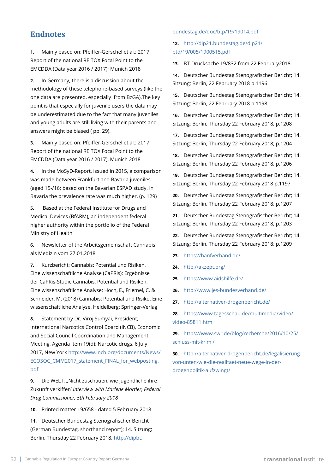### **Endnotes**

**1.** Mainly based on: Pfeiffer-Gerschel et al.: 2017 Report of the national REITOX Focal Point to the EMCDDA (Data year 2016 / 2017); Munich 2018

**2.** In Germany, there is a discussion about the methodology of these telephone-based surveys (like the one data are presented, especially from BzGA).The key point is that especially for juvenile users the data may be underestimated due to the fact that many juveniles and young adults are still living with their parents and answers might be biased ( pp. 29).

**3.** Mainly based on: Pfeiffer-Gerschel et.al.: 2017 Report of the national REITOX Focal Point to the EMCDDA (Data year 2016 / 2017), Munich 2018

**4.** In the MoSyD-Report, issued in 2015, a comparison was made between Frankfurt and Bavaria juveniles (aged 15-/16; based on the Bavarian ESPAD study. In Bavaria the prevalence rate was much higher. (p. 129)

**5.** Based at the Federal Institute for Drugs and Medical Devices (BfARM), an independent federal higher authority within the portfolio of the Federal Ministry of Health

**6.** Newsletter of the Arbeitsgemeinschaft Cannabis als Medizin vom 27.01.2018

**7.** Kurzbericht: Cannabis: Potential und Risiken. Eine wissenschaftliche Analyse (CaPRis); Ergebnisse der CaPRis-Studie Cannabis: Potential und Risiken. Eine wissenschaftliche Analyse; Hoch, E., Friemel, C. & Schneider, M. (2018) Cannabis: Potential und Risiko. Eine wissenschaftliche Analyse. Heidelberg: Springer-Verlag

**8.** Statement by Dr. Viroj Sumyai, President, International Narcotics Control Board (INCB), Economic and Social Council Coordination and Management Meeting, Agenda item 19(d): Narcotic drugs, 6 July 2017, New York [http://www.incb.org/documents/News/](http://www.incb.org/documents/News/ECOSOC_CMM2017_statement_FINAL_for_webposting.pdf) [ECOSOC\\_CMM2017\\_statement\\_FINAL\\_for\\_webposting.](http://www.incb.org/documents/News/ECOSOC_CMM2017_statement_FINAL_for_webposting.pdf) [pdf](http://www.incb.org/documents/News/ECOSOC_CMM2017_statement_FINAL_for_webposting.pdf)

**9.** Die WELT: "Nicht zuschauen, wie Jugendliche ihre Zukunft verkiffen' *Interview with Marlene Mortler, Federal Drug Commissioner; 5th February 2018*

**10.** Printed matter 19/658 - dated 5 February.2018

**11.** Deutscher Bundestag Stenografischer Bericht (German Bundestag, shorthand report); 14. Sitzung; Berlin, Thursday 22 February 2018; [http://dipbt.](http://dipbt.bundestag.de/doc/btp/19/19014.pdf)

#### [bundestag.de/doc/btp/19/19014.pdf](http://dipbt.bundestag.de/doc/btp/19/19014.pdf)

#### **12.** [http://dip21.bundestag.de/dip21/](http://dip21.bundestag.de/dip21/btd/19/005/1900515.pdf ) [btd/19/005/1900515.pdf](http://dip21.bundestag.de/dip21/btd/19/005/1900515.pdf )

**13.** BT-Drucksache 19/832 from 22 February2018

**14.** Deutscher Bundestag Stenografischer Bericht; 14. Sitzung; Berlin, 22 February 2018 p.1196

**15.** Deutscher Bundestag Stenografischer Bericht; 14. Sitzung; Berlin, 22 February 2018 p.1198

**16.** Deutscher Bundestag Stenografischer Bericht; 14. Sitzung; Berlin, Thursday 22 February 2018; p.1208

**17.** Deutscher Bundestag Stenografischer Bericht; 14. Sitzung; Berlin, Thursday 22 February 2018; p.1204

**18.** Deutscher Bundestag Stenografischer Bericht; 14. Sitzung; Berlin, Thursday 22 February 2018; p.1206

**19.** Deutscher Bundestag Stenografischer Bericht; 14. Sitzung; Berlin, Thursday 22 February 2018 p.1197

**20.** Deutscher Bundestag Stenografischer Bericht; 14. Sitzung; Berlin, Thursday 22 February 2018; p.1207

**21.** Deutscher Bundestag Stenografischer Bericht; 14. Sitzung; Berlin, Thursday 22 February 2018; p.1203

**22.** Deutscher Bundestag Stenografischer Bericht; 14. Sitzung; Berlin, Thursday 22 February 2018; p.1209

- **23.** <https://hanfverband.de/>
- **24.** [http://akzept.org/](http://akzept.org/ )
- **25.** <https://www.aidshilfe.de/>
- **26.** <http://www.jes-bundesverband.de/>
- **27.** <http://alternativer-drogenbericht.de/>

**28.** [https://www.tagesschau.de/multimedia/video/](https://www.tagesschau.de/multimedia/video/video-85811.html) [video-85811.html](https://www.tagesschau.de/multimedia/video/video-85811.html)

**29.** [https://www.swr.de/blog/recherche/2016/10/25/](https://www.swr.de/blog/recherche/2016/10/25/schluss-mit-krimi/) [schluss-mit-krimi/](https://www.swr.de/blog/recherche/2016/10/25/schluss-mit-krimi/)

**30.** [http://alternativer-drogenbericht.de/legalisierung](http://alternativer-drogenbericht.de/legalisierung-von-unten-wie-die-realitaet-neue-wege-in-der-drogenpolitik-aufzwingt/)[von-unten-wie-die-realitaet-neue-wege-in-der](http://alternativer-drogenbericht.de/legalisierung-von-unten-wie-die-realitaet-neue-wege-in-der-drogenpolitik-aufzwingt/)[drogenpolitik-aufzwingt/](http://alternativer-drogenbericht.de/legalisierung-von-unten-wie-die-realitaet-neue-wege-in-der-drogenpolitik-aufzwingt/)